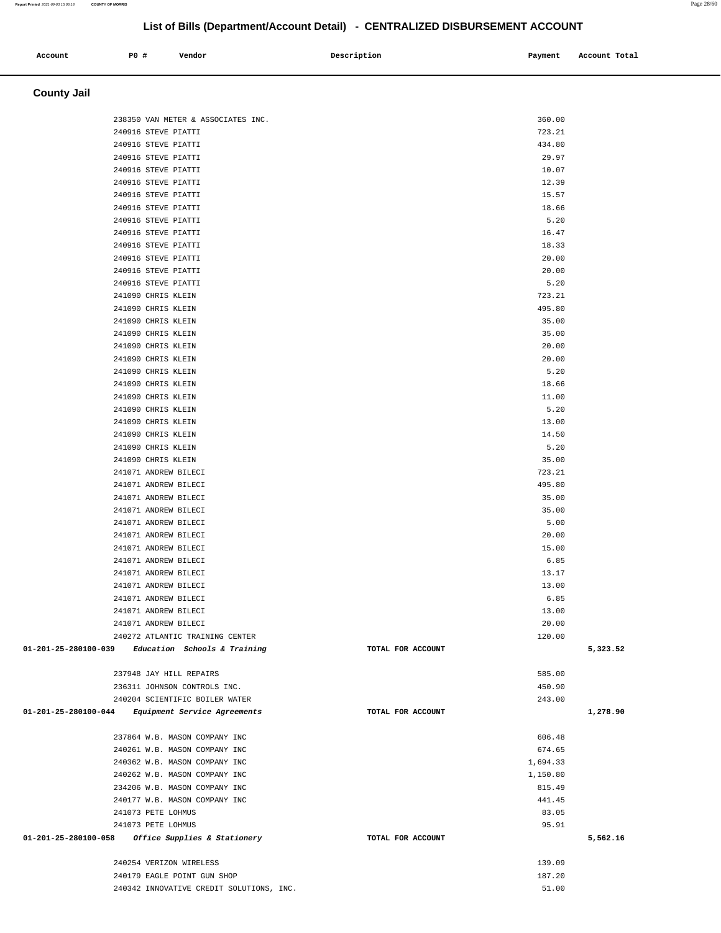### 240916 STEVE PIATTI 723.21 240916 STEVE PIATTI 434.80 240916 STEVE PIATTI 29.97 240916 STEVE PIATTI 10.07 240916 STEVE PIATTI 12.39 240916 STEVE PIATTI 15.57 240916 STEVE PIATTI 18.66 240916 STEVE PIATTI 5.20 240916 STEVE PIATTI 16.47 240916 STEVE PIATTI 18.33 240916 STEVE PIATTI 20.00 240916 STEVE PIATTI 20.00 240916 STEVE PIATTI 5.20 241090 CHRIS KLEIN 723.21 241090 CHRIS KLEIN 495.80 241090 CHRIS KLEIN 35.00 241090 CHRIS KLEIN 35.00 241090 CHRIS KLEIN 20.00 241090 CHRIS KLEIN 20.00 241090 CHRIS KLEIN 5.20 241090 CHRIS KLEIN 18.66 241090 CHRIS KLEIN 11.00 241090 CHRIS KLEIN 5.20 241090 CHRIS KLEIN 13.00 241090 CHRIS KLEIN 14.50 241090 CHRIS KLEIN 5.20 241090 CHRIS KLEIN 35.00 241071 ANDREW BILECI 723.21 241071 ANDREW BILECI 495.80 241071 ANDREW BILECI 35.00 241071 ANDREW BILECI 35.00 241071 ANDREW BILECI 5.00 241071 ANDREW BILECI 20.00 241071 ANDREW BILECI 15.00 241071 ANDREW BILECI 6.85 241071 ANDREW BILECI 13.17 241071 ANDREW BILECI 13.00 241071 ANDREW BILECI 6.85 241071 ANDREW BILECI 13.00 241071 ANDREW BILECI 20.00 240272 ATLANTIC TRAINING CENTER 120.00  **01-201-25-280100-039 Education Schools & Training TOTAL FOR ACCOUNT 5,323.52** 237948 JAY HILL REPAIRS 585.00 236311 JOHNSON CONTROLS INC. 450.90 240204 SCIENTIFIC BOILER WATER 243.00  **01-201-25-280100-044 Equipment Service Agreements TOTAL FOR ACCOUNT 1,278.90** 237864 W.B. MASON COMPANY INC 606.48 240261 W.B. MASON COMPANY INC 674.65 240362 W.B. MASON COMPANY INC 1,694.33 240262 W.B. MASON COMPANY INC 1,150.80 234206 W.B. MASON COMPANY INC 815.49 240177 W.B. MASON COMPANY INC 441.45 241073 PETE LOHMUS 83.05 241073 PETE LOHMUS 95.91  **01-201-25-280100-058 Office Supplies & Stationery TOTAL FOR ACCOUNT 5,562.16** 240254 VERIZON WIRELESS 139.09 240179 EAGLE POINT GUN SHOP 187.20 240342 INNOVATIVE CREDIT SOLUTIONS, INC. 51.00

 **Account P0 # Vendor Description Payment Account Total**

238350 VAN METER & ASSOCIATES INC. 360.00

 **County Jail**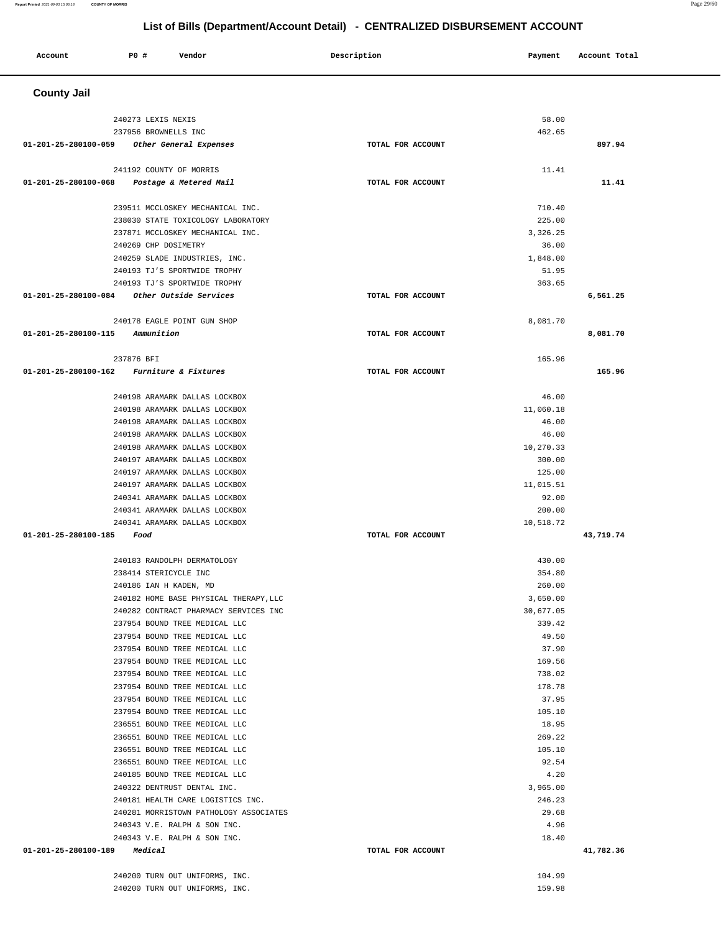### **Report Printed** 2021-09-03 15:06:18 **COUNTY OF MORRIS** Page 29/60

## **List of Bills (Department/Account Detail) - CENTRALIZED DISBURSEMENT ACCOUNT**

| <b>PO #</b><br>Vendor<br>Account               | Description       | Account Total<br>Payment |
|------------------------------------------------|-------------------|--------------------------|
| <b>County Jail</b>                             |                   |                          |
| 240273 LEXIS NEXIS                             |                   | 58.00                    |
| 237956 BROWNELLS INC                           |                   | 462.65                   |
| 01-201-25-280100-059<br>Other General Expenses | TOTAL FOR ACCOUNT | 897.94                   |
| 241192 COUNTY OF MORRIS                        |                   | 11.41                    |
| 01-201-25-280100-068<br>Postage & Metered Mail | TOTAL FOR ACCOUNT | 11.41                    |

| 239511 MCCLOSKEY MECHANICAL INC.                               |                   | 710.40           |           |
|----------------------------------------------------------------|-------------------|------------------|-----------|
| 238030 STATE TOXICOLOGY LABORATORY                             |                   | 225.00           |           |
| 237871 MCCLOSKEY MECHANICAL INC.                               |                   | 3,326.25         |           |
| 240269 CHP DOSIMETRY                                           |                   | 36.00            |           |
| 240259 SLADE INDUSTRIES, INC.                                  |                   | 1,848.00         |           |
| 240193 TJ'S SPORTWIDE TROPHY                                   |                   | 51.95            |           |
| 240193 TJ'S SPORTWIDE TROPHY                                   |                   | 363.65           |           |
|                                                                | TOTAL FOR ACCOUNT |                  | 6,561.25  |
| 240178 EAGLE POINT GUN SHOP                                    |                   | 8,081.70         |           |
| $01 - 201 - 25 - 280100 - 115$ Ammunition                      | TOTAL FOR ACCOUNT |                  | 8,081.70  |
| 237876 BFI                                                     |                   | 165.96           |           |
| 01-201-25-280100-162 Furniture & Fixtures                      | TOTAL FOR ACCOUNT |                  | 165.96    |
| 240198 ARAMARK DALLAS LOCKBOX                                  |                   | 46.00            |           |
| 240198 ARAMARK DALLAS LOCKBOX                                  |                   | 11,060.18        |           |
| 240198 ARAMARK DALLAS LOCKBOX                                  |                   | 46.00            |           |
| 240198 ARAMARK DALLAS LOCKBOX                                  |                   | 46.00            |           |
| 240198 ARAMARK DALLAS LOCKBOX                                  |                   | 10,270.33        |           |
| 240197 ARAMARK DALLAS LOCKBOX                                  |                   | 300.00           |           |
| 240197 ARAMARK DALLAS LOCKBOX                                  |                   | 125.00           |           |
| 240197 ARAMARK DALLAS LOCKBOX                                  |                   | 11,015.51        |           |
| 240341 ARAMARK DALLAS LOCKBOX                                  |                   | 92.00            |           |
| 240341 ARAMARK DALLAS LOCKBOX                                  |                   | 200.00           |           |
| 240341 ARAMARK DALLAS LOCKBOX                                  |                   | 10,518.72        |           |
| 01-201-25-280100-185 Food                                      | TOTAL FOR ACCOUNT |                  | 43,719.74 |
| 240183 RANDOLPH DERMATOLOGY                                    |                   | 430.00           |           |
| 238414 STERICYCLE INC                                          |                   | 354.80           |           |
| 240186 IAN H KADEN, MD                                         |                   | 260.00           |           |
| 240182 HOME BASE PHYSICAL THERAPY, LLC                         |                   | 3,650.00         |           |
| 240282 CONTRACT PHARMACY SERVICES INC                          |                   | 30,677.05        |           |
| 237954 BOUND TREE MEDICAL LLC                                  |                   | 339.42           |           |
| 237954 BOUND TREE MEDICAL LLC                                  |                   | 49.50            |           |
| 237954 BOUND TREE MEDICAL LLC                                  |                   | 37.90            |           |
| 237954 BOUND TREE MEDICAL LLC                                  |                   | 169.56           |           |
| 237954 BOUND TREE MEDICAL LLC                                  |                   | 738.02           |           |
| 237954 BOUND TREE MEDICAL LLC                                  |                   | 178.78           |           |
| 237954 BOUND TREE MEDICAL LLC                                  |                   | 37.95            |           |
| 237954 BOUND TREE MEDICAL LLC<br>236551 BOUND TREE MEDICAL LLC |                   | 105.10<br>18.95  |           |
|                                                                |                   |                  |           |
| 236551 BOUND TREE MEDICAL LLC<br>236551 BOUND TREE MEDICAL LLC |                   | 269.22<br>105.10 |           |
| 236551 BOUND TREE MEDICAL LLC                                  |                   | 92.54            |           |
| 240185 BOUND TREE MEDICAL LLC                                  |                   | 4.20             |           |
| 240322 DENTRUST DENTAL INC.                                    |                   | 3,965.00         |           |
| 240181 HEALTH CARE LOGISTICS INC.                              |                   | 246.23           |           |
| 240281 MORRISTOWN PATHOLOGY ASSOCIATES                         |                   | 29.68            |           |
| 240343 V.E. RALPH & SON INC.                                   |                   | 4.96             |           |
|                                                                |                   |                  |           |

 **01-201-25-280100-189 Medical TOTAL FOR ACCOUNT 41,782.36**

240343 V.E. RALPH & SON INC. 18.40

240200 TURN OUT UNIFORMS, INC. 104.99 240200 TURN OUT UNIFORMS, INC. 159.98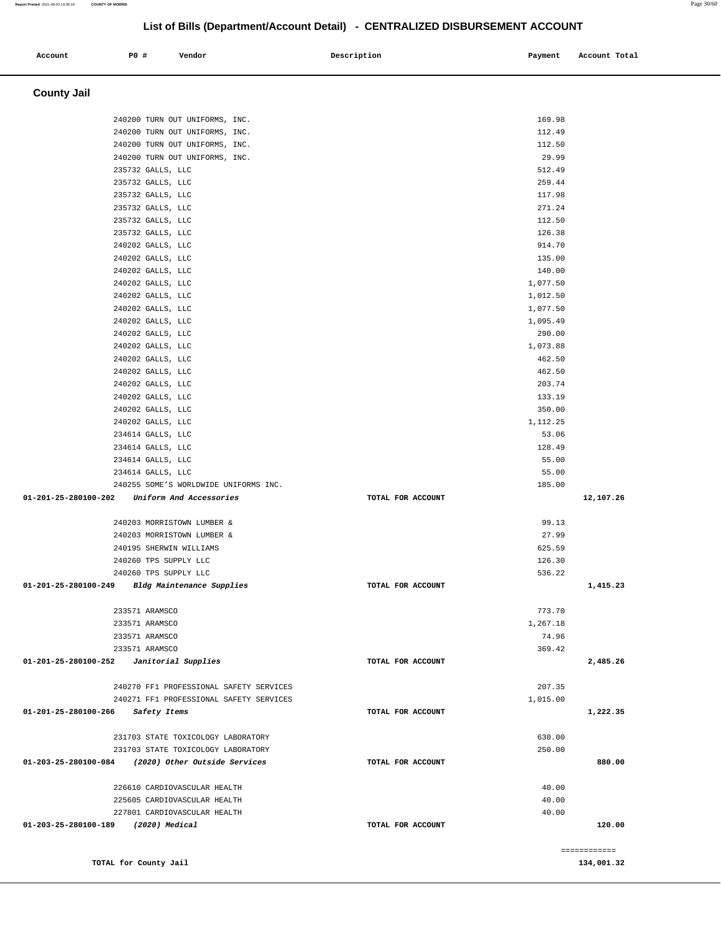| LIST OF BIIIS (Department/Account Detail) - CENTRALIZED DISBURSEMENT ACCOUNT |                         |                                                                  |                   |                  |               |
|------------------------------------------------------------------------------|-------------------------|------------------------------------------------------------------|-------------------|------------------|---------------|
| Account                                                                      | P0 #                    | Vendor                                                           | Description       | Payment          | Account Total |
| <b>County Jail</b>                                                           |                         |                                                                  |                   |                  |               |
|                                                                              |                         |                                                                  |                   |                  |               |
|                                                                              |                         | 240200 TURN OUT UNIFORMS, INC.                                   |                   | 169.98           |               |
|                                                                              |                         | 240200 TURN OUT UNIFORMS, INC.                                   |                   | 112.49<br>112.50 |               |
|                                                                              |                         | 240200 TURN OUT UNIFORMS, INC.<br>240200 TURN OUT UNIFORMS, INC. |                   | 29.99            |               |
|                                                                              | 235732 GALLS, LLC       |                                                                  |                   | 512.49           |               |
|                                                                              | 235732 GALLS, LLC       |                                                                  |                   | 259.44           |               |
|                                                                              | 235732 GALLS, LLC       |                                                                  |                   | 117.98           |               |
|                                                                              | 235732 GALLS, LLC       |                                                                  |                   | 271.24           |               |
|                                                                              | 235732 GALLS, LLC       |                                                                  |                   | 112.50           |               |
|                                                                              | 235732 GALLS, LLC       |                                                                  |                   | 126.38           |               |
|                                                                              | 240202 GALLS, LLC       |                                                                  |                   | 914.70           |               |
|                                                                              | 240202 GALLS, LLC       |                                                                  |                   | 135.00           |               |
|                                                                              | 240202 GALLS, LLC       |                                                                  |                   | 140.00           |               |
|                                                                              | 240202 GALLS, LLC       |                                                                  |                   | 1,077.50         |               |
|                                                                              | 240202 GALLS, LLC       |                                                                  |                   | 1,012.50         |               |
|                                                                              | 240202 GALLS, LLC       |                                                                  |                   | 1,077.50         |               |
|                                                                              | 240202 GALLS, LLC       |                                                                  |                   | 1,095.49         |               |
|                                                                              | 240202 GALLS, LLC       |                                                                  |                   | 290.00           |               |
|                                                                              | 240202 GALLS, LLC       |                                                                  |                   | 1,073.88         |               |
|                                                                              | 240202 GALLS, LLC       |                                                                  |                   | 462.50           |               |
|                                                                              | 240202 GALLS, LLC       |                                                                  |                   | 462.50           |               |
|                                                                              | 240202 GALLS, LLC       |                                                                  |                   | 203.74           |               |
|                                                                              | 240202 GALLS, LLC       |                                                                  |                   | 133.19           |               |
|                                                                              | 240202 GALLS, LLC       |                                                                  |                   | 350.00           |               |
|                                                                              | 240202 GALLS, LLC       |                                                                  |                   | 1,112.25         |               |
|                                                                              | 234614 GALLS, LLC       |                                                                  |                   | 53.06            |               |
|                                                                              | 234614 GALLS, LLC       |                                                                  |                   | 128.49           |               |
|                                                                              | 234614 GALLS, LLC       |                                                                  |                   | 55.00            |               |
|                                                                              | 234614 GALLS, LLC       |                                                                  |                   | 55.00            |               |
|                                                                              |                         | 240255 SOME'S WORLDWIDE UNIFORMS INC.                            |                   | 185.00           |               |
| 01-201-25-280100-202                                                         |                         | Uniform And Accessories                                          | TOTAL FOR ACCOUNT |                  | 12,107.26     |
|                                                                              |                         | 240203 MORRISTOWN LUMBER &                                       |                   | 99.13            |               |
|                                                                              |                         | 240203 MORRISTOWN LUMBER &                                       |                   | 27.99            |               |
|                                                                              | 240195 SHERWIN WILLIAMS |                                                                  |                   | 625.59           |               |
|                                                                              | 240260 TPS SUPPLY LLC   |                                                                  |                   | 126.30           |               |
|                                                                              | 240260 TPS SUPPLY LLC   |                                                                  |                   | 536.22           |               |
| 01-201-25-280100-249 Bldg Maintenance Supplies                               |                         |                                                                  | TOTAL FOR ACCOUNT |                  | 1,415.23      |
|                                                                              | 233571 ARAMSCO          |                                                                  |                   | 773.70           |               |
|                                                                              | 233571 ARAMSCO          |                                                                  |                   | 1,267.18         |               |
|                                                                              | 233571 ARAMSCO          |                                                                  |                   | 74.96            |               |
|                                                                              | 233571 ARAMSCO          |                                                                  |                   | 369.42           |               |
| $01-201-25-280100-252$ Janitorial Supplies                                   |                         |                                                                  | TOTAL FOR ACCOUNT |                  | 2,485.26      |
|                                                                              |                         | 240270 FF1 PROFESSIONAL SAFETY SERVICES                          |                   | 207.35           |               |
|                                                                              |                         | 240271 FF1 PROFESSIONAL SAFETY SERVICES                          |                   | 1,015.00         |               |
| 01-201-25-280100-266                                                         | Safety Items            |                                                                  | TOTAL FOR ACCOUNT |                  | 1,222.35      |
|                                                                              |                         | 231703 STATE TOXICOLOGY LABORATORY                               |                   | 630.00           |               |
|                                                                              |                         | 231703 STATE TOXICOLOGY LABORATORY                               |                   | 250.00           |               |
| 01-203-25-280100-084                                                         |                         | (2020) Other Outside Services                                    | TOTAL FOR ACCOUNT |                  | 880.00        |
|                                                                              |                         | 226610 CARDIOVASCULAR HEALTH                                     |                   | 40.00            |               |
|                                                                              |                         | 225605 CARDIOVASCULAR HEALTH                                     |                   | 40.00            |               |
|                                                                              |                         | 227801 CARDIOVASCULAR HEALTH                                     |                   | 40.00            |               |

 **01-203-25-280100-189 (2020) Medical TOTAL FOR ACCOUNT 120.00**

**TOTAL for County Jail** 134,001.32 **134,001.32** 

============

**Report Printed** 2021-09-03 15:06:18 **COUNTY OF MORRIS** Page 30/60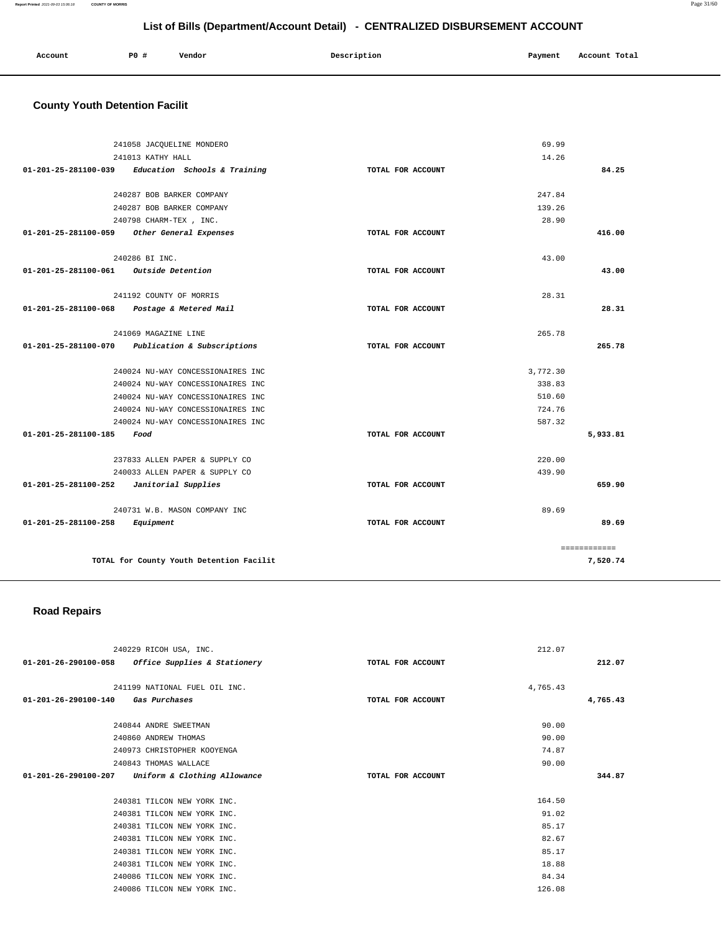### **Report Printed** 2021-09-03 15:06:18 **COUNTY OF MORRIS** Page 31/60

## **List of Bills (Department/Account Detail) - CENTRALIZED DISBURSEMENT ACCOUNT**

| Account | PO# | Vendor | Description | Payment | Account Total |
|---------|-----|--------|-------------|---------|---------------|
|         |     |        |             |         |               |

# **County Youth Detention Facilit**

|                                            | 241058 JACQUELINE MONDERO                        |                   | 69.99        |
|--------------------------------------------|--------------------------------------------------|-------------------|--------------|
|                                            | 241013 KATHY HALL                                |                   | 14.26        |
| 01-201-25-281100-039                       | Education Schools & Training                     | TOTAL FOR ACCOUNT | 84.25        |
|                                            |                                                  |                   |              |
|                                            | 240287 BOB BARKER COMPANY                        |                   | 247.84       |
|                                            | 240287 BOB BARKER COMPANY                        |                   | 139.26       |
|                                            | 240798 CHARM-TEX , INC.                          |                   | 28.90        |
| 01-201-25-281100-059                       | Other General Expenses                           | TOTAL FOR ACCOUNT | 416.00       |
|                                            | 240286 BI INC.                                   |                   | 43.00        |
| 01-201-25-281100-061 Outside Detention     |                                                  | TOTAL FOR ACCOUNT | 43.00        |
|                                            |                                                  |                   |              |
|                                            | 241192 COUNTY OF MORRIS                          |                   | 28.31        |
| 01-201-25-281100-068                       | Postage & Metered Mail                           | TOTAL FOR ACCOUNT | 28.31        |
|                                            |                                                  |                   |              |
|                                            | 241069 MAGAZINE LINE                             |                   | 265.78       |
|                                            | 01-201-25-281100-070 Publication & Subscriptions | TOTAL FOR ACCOUNT | 265.78       |
|                                            | 240024 NU-WAY CONCESSIONAIRES INC                |                   | 3,772.30     |
|                                            | 240024 NU-WAY CONCESSIONAIRES INC                |                   | 338.83       |
|                                            | 240024 NU-WAY CONCESSIONAIRES INC                |                   | 510.60       |
|                                            | 240024 NU-WAY CONCESSIONAIRES INC                |                   | 724.76       |
|                                            | 240024 NU-WAY CONCESSIONAIRES INC                |                   | 587.32       |
| $01 - 201 - 25 - 281100 - 185$             | Food                                             | TOTAL FOR ACCOUNT | 5,933.81     |
|                                            |                                                  |                   |              |
|                                            | 237833 ALLEN PAPER & SUPPLY CO                   |                   | 220.00       |
|                                            | 240033 ALLEN PAPER & SUPPLY CO                   |                   | 439.90       |
| $01-201-25-281100-252$ Janitorial Supplies |                                                  | TOTAL FOR ACCOUNT | 659.90       |
|                                            | 240731 W.B. MASON COMPANY INC                    |                   | 89.69        |
| 01-201-25-281100-258                       | Equipment                                        | TOTAL FOR ACCOUNT | 89.69        |
|                                            |                                                  |                   |              |
|                                            |                                                  |                   | ============ |
|                                            | TOTAL for County Youth Detention Facilit         |                   | 7,520.74     |

## **Road Repairs**

| 240229 RICOH USA, INC.                               | 212.07            |          |
|------------------------------------------------------|-------------------|----------|
| Office Supplies & Stationery<br>01-201-26-290100-058 | TOTAL FOR ACCOUNT | 212.07   |
|                                                      |                   |          |
| 241199 NATIONAL FUEL OIL INC.                        | 4,765.43          |          |
| 01-201-26-290100-140 Gas Purchases                   | TOTAL FOR ACCOUNT | 4,765.43 |
|                                                      |                   |          |
| 240844 ANDRE SWEETMAN                                | 90.00             |          |
| 240860 ANDREW THOMAS                                 | 90.00             |          |
| 240973 CHRISTOPHER KOOYENGA                          | 74.87             |          |
| 240843 THOMAS WALLACE                                | 90.00             |          |
| 01-201-26-290100-207<br>Uniform & Clothing Allowance | TOTAL FOR ACCOUNT | 344.87   |
|                                                      |                   |          |
| 240381 TILCON NEW YORK INC.                          | 164.50            |          |
| 240381 TILCON NEW YORK INC.                          | 91.02             |          |
| 240381 TILCON NEW YORK INC.                          | 85.17             |          |
| 240381 TILCON NEW YORK INC.                          | 82.67             |          |
| 240381 TILCON NEW YORK INC.                          | 85.17             |          |
| 240381 TILCON NEW YORK INC.                          | 18.88             |          |
| 240086 TILCON NEW YORK INC.                          | 84.34             |          |
| 240086 TILCON NEW YORK INC.                          | 126.08            |          |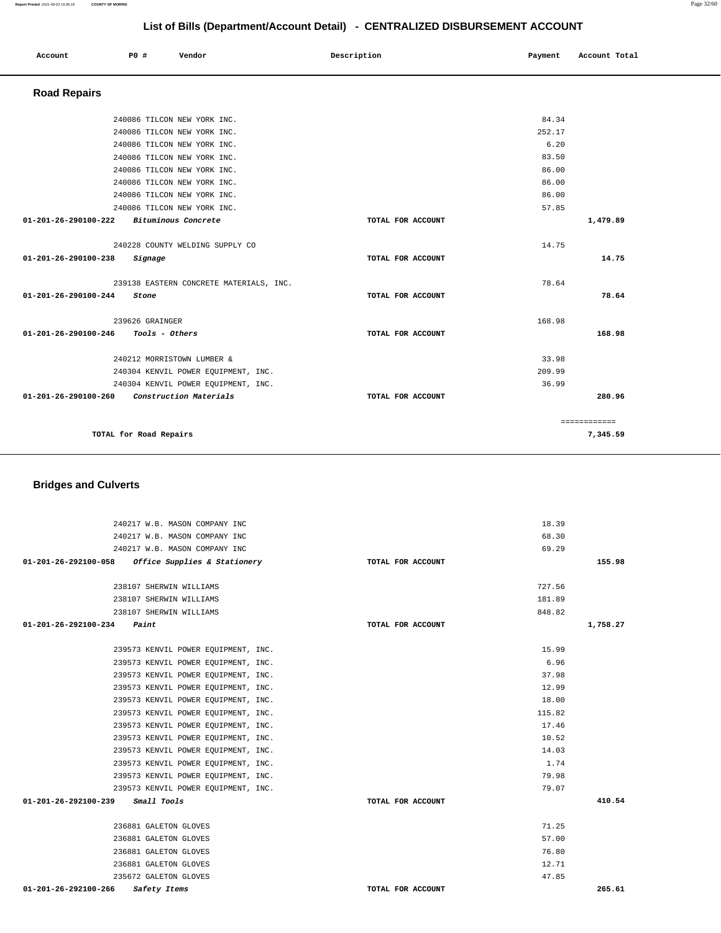# **List of Bills (Department/Account Detail) - CENTRALIZED DISBURSEMENT ACCOUNT Account** 20 **P P**  $\uparrow$  **Payment** Payment Account Total  **Road Repairs**  240086 TILCON NEW YORK INC. 84.34

| 240086 TILCON NEW YORK INC.                    |                   | 252.17 |              |
|------------------------------------------------|-------------------|--------|--------------|
| 240086 TILCON NEW YORK INC.                    |                   | 6.20   |              |
| 240086 TILCON NEW YORK INC.                    |                   | 83.50  |              |
| 240086 TILCON NEW YORK INC.                    |                   | 86.00  |              |
| 240086 TILCON NEW YORK INC.                    |                   | 86.00  |              |
| 240086 TILCON NEW YORK INC.                    |                   | 86.00  |              |
| 240086 TILCON NEW YORK INC.                    |                   | 57.85  |              |
| Bituminous Concrete<br>01-201-26-290100-222    | TOTAL FOR ACCOUNT |        | 1,479.89     |
| 240228 COUNTY WELDING SUPPLY CO                |                   | 14.75  |              |
| 01-201-26-290100-238<br>Signage                | TOTAL FOR ACCOUNT |        | 14.75        |
| 239138 EASTERN CONCRETE MATERIALS, INC.        |                   | 78.64  |              |
| 01-201-26-290100-244<br>Stone                  | TOTAL FOR ACCOUNT |        | 78.64        |
| 239626 GRAINGER                                |                   | 168.98 |              |
| 01-201-26-290100-246<br>Tools - Others         | TOTAL FOR ACCOUNT |        | 168.98       |
| 240212 MORRISTOWN LUMBER &                     |                   | 33.98  |              |
| 240304 KENVIL POWER EOUIPMENT, INC.            |                   | 209.99 |              |
| 240304 KENVIL POWER EQUIPMENT, INC.            |                   | 36.99  |              |
| 01-201-26-290100-260<br>Construction Materials | TOTAL FOR ACCOUNT |        | 280.96       |
|                                                |                   |        | ============ |
| TOTAL for Road Repairs                         |                   |        | 7,345.59     |

## **Bridges and Culverts**

| 240217 W.B. MASON COMPANY INC                        |                   | 18.39    |
|------------------------------------------------------|-------------------|----------|
| 240217 W.B. MASON COMPANY INC                        |                   | 68.30    |
| 240217 W.B. MASON COMPANY INC                        |                   | 69.29    |
| 01-201-26-292100-058<br>Office Supplies & Stationery | TOTAL FOR ACCOUNT | 155.98   |
|                                                      |                   |          |
| 238107 SHERWIN WILLIAMS                              |                   | 727.56   |
| 238107 SHERWIN WILLIAMS                              |                   | 181.89   |
| 238107 SHERWIN WILLIAMS                              |                   | 848.82   |
| $01 - 201 - 26 - 292100 - 234$ Paint                 | TOTAL FOR ACCOUNT | 1,758.27 |
|                                                      |                   |          |
| 239573 KENVIL POWER EQUIPMENT, INC.                  |                   | 15.99    |
| 239573 KENVIL POWER EQUIPMENT, INC.                  |                   | 6.96     |
| 239573 KENVIL POWER EQUIPMENT, INC.                  |                   | 37.98    |
| 239573 KENVIL POWER EQUIPMENT, INC.                  |                   | 12.99    |
| 239573 KENVIL POWER EQUIPMENT, INC.                  |                   | 18.00    |
| 239573 KENVIL POWER EQUIPMENT, INC.                  |                   | 115.82   |
| 239573 KENVIL POWER EQUIPMENT, INC.                  |                   | 17.46    |
| 239573 KENVIL POWER EQUIPMENT, INC.                  |                   | 10.52    |
| 239573 KENVIL POWER EOUIPMENT, INC.                  |                   | 14.03    |
| 239573 KENVIL POWER EOUIPMENT, INC.                  |                   | 1.74     |
| 239573 KENVIL POWER EQUIPMENT, INC.                  |                   | 79.98    |
| 239573 KENVIL POWER EQUIPMENT, INC.                  |                   | 79.07    |
| 01-201-26-292100-239<br>Small Tools                  | TOTAL FOR ACCOUNT | 410.54   |
|                                                      |                   |          |
| 236881 GALETON GLOVES                                |                   | 71.25    |
| 236881 GALETON GLOVES                                |                   | 57.00    |
| 236881 GALETON GLOVES                                |                   | 76.80    |
| 236881 GALETON GLOVES                                |                   | 12.71    |
| 235672 GALETON GLOVES                                |                   | 47.85    |
| $01 - 201 - 26 - 292100 - 266$<br>Safety Items       | TOTAL FOR ACCOUNT | 265.61   |

**Report Printed** 2021-09-03 15:06:18 **COUNTY OF MORRIS** Page 32/60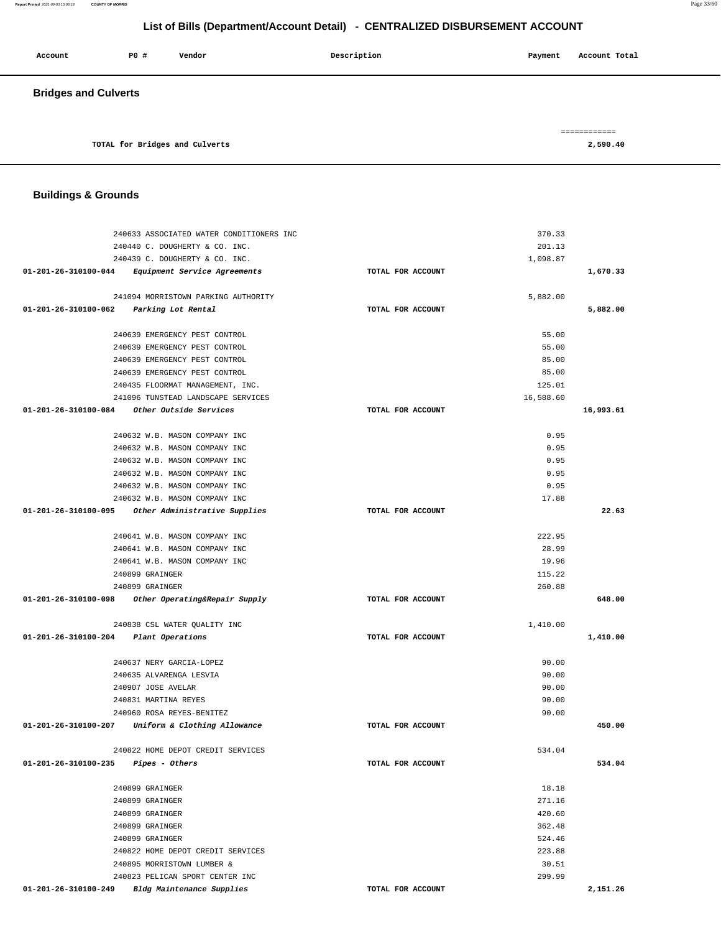| Account                     | <b>PO #</b> | Vendor                         | Description | Account Total<br>Payment |
|-----------------------------|-------------|--------------------------------|-------------|--------------------------|
| <b>Bridges and Culverts</b> |             |                                |             |                          |
|                             |             | TOTAL for Bridges and Culverts |             | ============<br>2,590.40 |

<u> 1980 - Johann Stoff, amerikansk politiker (d. 1980)</u>

## **Buildings & Grounds**

| 240633 ASSOCIATED WATER CONDITIONERS INC                 |                   | 370.33    |           |
|----------------------------------------------------------|-------------------|-----------|-----------|
| 240440 C. DOUGHERTY & CO. INC.                           |                   | 201.13    |           |
| 240439 C. DOUGHERTY & CO. INC.                           |                   | 1,098.87  |           |
| $01-201-26-310100-044$ Equipment Service Agreements      | TOTAL FOR ACCOUNT |           | 1,670.33  |
|                                                          |                   |           |           |
| 241094 MORRISTOWN PARKING AUTHORITY                      |                   | 5,882.00  |           |
| 01-201-26-310100-062 Parking Lot Rental                  | TOTAL FOR ACCOUNT |           | 5,882.00  |
|                                                          |                   |           |           |
| 240639 EMERGENCY PEST CONTROL                            |                   | 55.00     |           |
| 240639 EMERGENCY PEST CONTROL                            |                   | 55.00     |           |
| 240639 EMERGENCY PEST CONTROL                            |                   | 85.00     |           |
| 240639 EMERGENCY PEST CONTROL                            |                   | 85.00     |           |
| 240435 FLOORMAT MANAGEMENT, INC.                         |                   | 125.01    |           |
| 241096 TUNSTEAD LANDSCAPE SERVICES                       |                   | 16,588.60 |           |
| 01-201-26-310100-084 Other Outside Services              | TOTAL FOR ACCOUNT |           | 16,993.61 |
| 240632 W.B. MASON COMPANY INC                            |                   | 0.95      |           |
| 240632 W.B. MASON COMPANY INC                            |                   | 0.95      |           |
| 240632 W.B. MASON COMPANY INC                            |                   | 0.95      |           |
| 240632 W.B. MASON COMPANY INC                            |                   | 0.95      |           |
| 240632 W.B. MASON COMPANY INC                            |                   | 0.95      |           |
| 240632 W.B. MASON COMPANY INC                            |                   | 17.88     |           |
| 01-201-26-310100-095<br>Other Administrative Supplies    | TOTAL FOR ACCOUNT |           | 22.63     |
|                                                          |                   |           |           |
| 240641 W.B. MASON COMPANY INC                            |                   | 222.95    |           |
| 240641 W.B. MASON COMPANY INC                            |                   | 28.99     |           |
| 240641 W.B. MASON COMPANY INC                            |                   | 19.96     |           |
| 240899 GRAINGER                                          |                   | 115.22    |           |
| 240899 GRAINGER                                          |                   | 260.88    |           |
| 01-201-26-310100-098 Other Operating&Repair Supply       | TOTAL FOR ACCOUNT |           | 648.00    |
|                                                          |                   |           |           |
| 240838 CSL WATER QUALITY INC                             |                   | 1,410.00  |           |
| 01-201-26-310100-204 Plant Operations                    | TOTAL FOR ACCOUNT |           | 1,410.00  |
| 240637 NERY GARCIA-LOPEZ                                 |                   | 90.00     |           |
| 240635 ALVARENGA LESVIA                                  |                   | 90.00     |           |
| 240907 JOSE AVELAR                                       |                   | 90.00     |           |
| 240831 MARTINA REYES                                     |                   | 90.00     |           |
| 240960 ROSA REYES-BENITEZ                                |                   | 90.00     |           |
| 01-201-26-310100-207 Uniform & Clothing Allowance        | TOTAL FOR ACCOUNT |           | 450.00    |
|                                                          |                   |           |           |
| 240822 HOME DEPOT CREDIT SERVICES                        |                   | 534.04    |           |
| 01-201-26-310100-235<br>Pipes - Others                   | TOTAL FOR ACCOUNT |           | 534.04    |
|                                                          |                   |           |           |
| 240899 GRAINGER                                          |                   | 18.18     |           |
| 240899 GRAINGER                                          |                   | 271.16    |           |
| 240899 GRAINGER                                          |                   | 420.60    |           |
| 240899 GRAINGER                                          |                   | 362.48    |           |
| 240899 GRAINGER                                          |                   | 524.46    |           |
| 240822 HOME DEPOT CREDIT SERVICES                        |                   | 223.88    |           |
| 240895 MORRISTOWN LUMBER &                               |                   | 30.51     |           |
| 240823 PELICAN SPORT CENTER INC                          |                   | 299.99    |           |
| 01-201-26-310100-249<br><b>Bldg Maintenance Supplies</b> | TOTAL FOR ACCOUNT |           | 2,151.26  |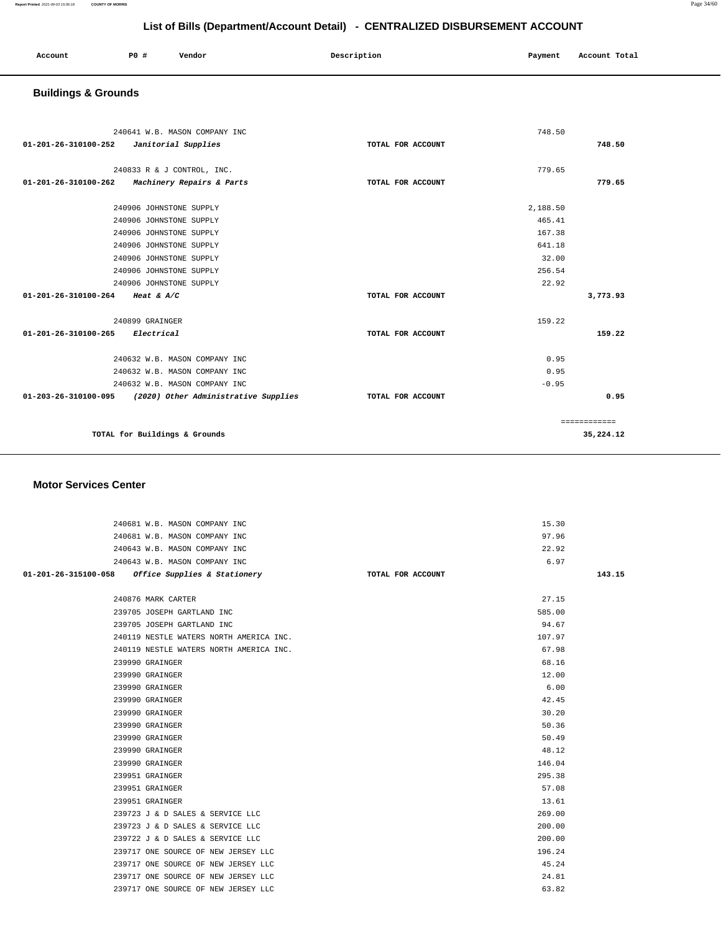| Account | <b>PO #</b> | Vendor | Description | Payment | Account Total |
|---------|-------------|--------|-------------|---------|---------------|
|         |             |        |             |         |               |

# **Buildings & Grounds**

| 240641 W.B. MASON COMPANY INC<br>01-201-26-310100-252<br>Janitorial Supplies    | TOTAL FOR ACCOUNT | 748.50<br>748.50 |
|---------------------------------------------------------------------------------|-------------------|------------------|
| 240833 R & J CONTROL, INC.<br>01-201-26-310100-262<br>Machinery Repairs & Parts | TOTAL FOR ACCOUNT | 779.65<br>779.65 |
|                                                                                 |                   |                  |
| 240906 JOHNSTONE SUPPLY                                                         |                   | 2,188.50         |
| 240906 JOHNSTONE SUPPLY                                                         |                   | 465.41           |
| 240906 JOHNSTONE SUPPLY                                                         |                   | 167.38           |
| 240906 JOHNSTONE SUPPLY                                                         |                   | 641.18           |
| 240906 JOHNSTONE SUPPLY                                                         |                   | 32.00            |
| 240906 JOHNSTONE SUPPLY                                                         |                   | 256.54           |
| 240906 JOHNSTONE SUPPLY                                                         |                   | 22.92            |
| 01-201-26-310100-264 Heat & A/C                                                 | TOTAL FOR ACCOUNT | 3,773.93         |
|                                                                                 |                   |                  |
| 240899 GRAINGER                                                                 |                   | 159.22           |
| 01-201-26-310100-265 Electrical                                                 | TOTAL FOR ACCOUNT | 159.22           |
| 240632 W.B. MASON COMPANY INC                                                   |                   | 0.95             |
| 240632 W.B. MASON COMPANY INC                                                   |                   | 0.95             |
| 240632 W.B. MASON COMPANY INC                                                   |                   | $-0.95$          |
| $01-203-26-310100-095$ (2020) Other Administrative Supplies                     | TOTAL FOR ACCOUNT | 0.95             |
|                                                                                 |                   | ============     |
| TOTAL for Buildings & Grounds                                                   |                   | 35,224.12        |

### **Motor Services Center**

| 240681 W.B. MASON COMPANY INC                     | 15.30             |        |
|---------------------------------------------------|-------------------|--------|
| 240681 W.B. MASON COMPANY INC                     | 97.96             |        |
| 240643 W.B. MASON COMPANY INC                     | 22.92             |        |
| 240643 W.B. MASON COMPANY INC                     | 6.97              |        |
| 01-201-26-315100-058 Office Supplies & Stationery | TOTAL FOR ACCOUNT | 143.15 |
|                                                   |                   |        |
| 240876 MARK CARTER                                | 27.15             |        |
| 239705 JOSEPH GARTLAND INC                        | 585.00            |        |
| 239705 JOSEPH GARTLAND INC                        | 94.67             |        |
| 240119 NESTLE WATERS NORTH AMERICA INC.           | 107.97            |        |
| 240119 NESTLE WATERS NORTH AMERICA INC.           | 67.98             |        |
| 239990 GRAINGER                                   | 68.16             |        |
| 239990 GRAINGER                                   | 12.00             |        |
| 239990 GRAINGER                                   | 6.00              |        |
| 239990 GRAINGER                                   | 42.45             |        |
| 239990 GRAINGER                                   | 30.20             |        |
| 239990 GRAINGER                                   | 50.36             |        |
| 239990 GRAINGER                                   | 50.49             |        |
| 239990 GRAINGER                                   | 48.12             |        |
| 239990 GRAINGER                                   | 146.04            |        |
| 239951 GRAINGER                                   | 295.38            |        |
| 239951 GRAINGER                                   | 57.08             |        |
| 239951 GRAINGER                                   | 13.61             |        |
| 239723 J & D SALES & SERVICE LLC                  | 269.00            |        |
| 239723 J & D SALES & SERVICE LLC                  | 200.00            |        |
| 239722 J & D SALES & SERVICE LLC                  | 200.00            |        |
| 239717 ONE SOURCE OF NEW JERSEY LLC               | 196.24            |        |
| 239717 ONE SOURCE OF NEW JERSEY LLC               | 45.24             |        |
| 239717 ONE SOURCE OF NEW JERSEY LLC               | 24.81             |        |
| 239717 ONE SOURCE OF NEW JERSEY LLC               | 63.82             |        |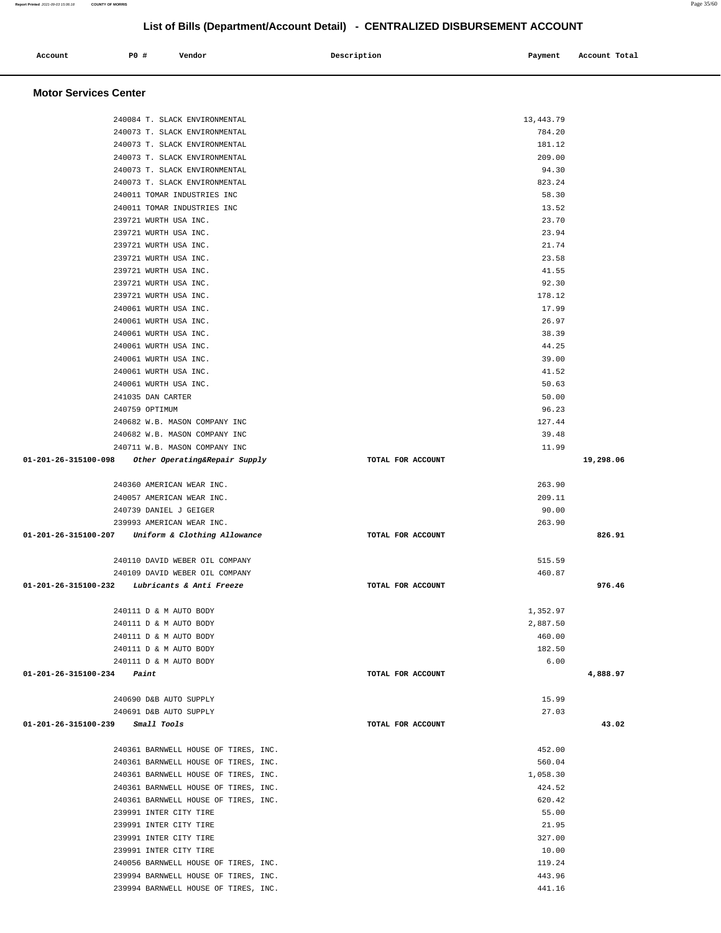**Motor Services Center**  240084 T. SLACK ENVIRONMENTAL 13,443.79 240073 T. SLACK ENVIRONMENTAL 784.20 240073 T. SLACK ENVIRONMENTAL 181.12 240073 T. SLACK ENVIRONMENTAL 209.00 240073 T. SLACK ENVIRONMENTAL 94.30 240073 T. SLACK ENVIRONMENTAL 823.24 240011 TOMAR INDUSTRIES INC 58.30 240011 TOMAR INDUSTRIES INC 13.52 239721 WURTH USA INC. 23.70 239721 WURTH USA INC. 23.94 239721 WURTH USA INC. 21.74 239721 WURTH USA INC. 23.58 239721 WURTH USA INC. 41.55 239721 WURTH USA INC. 92.30 239721 WURTH USA INC. 178.12 240061 WURTH USA INC. 17.99 240061 WURTH USA INC. 26.97 240061 WURTH USA INC. 38.39 240061 WURTH USA INC. 44.25 240061 WURTH USA INC. 39.00 240061 WURTH USA INC. 41.52 240061 WURTH USA INC. 50.63 241035 DAN CARTER 50.00 240759 OPTIMUM 96.23 240682 W.B. MASON COMPANY INC 127.44 240682 W.B. MASON COMPANY INC 39.48 240711 W.B. MASON COMPANY INC 11.99  **01-201-26-315100-098 Other Operating&Repair Supply TOTAL FOR ACCOUNT 19,298.06** 240360 AMERICAN WEAR INC. 263.90 240057 AMERICAN WEAR INC. 209.11 240739 DANIEL J GEIGER 90.00 239993 AMERICAN WEAR INC. 263.90  **01-201-26-315100-207 Uniform & Clothing Allowance TOTAL FOR ACCOUNT 826.91** 240110 DAVID WEBER OIL COMPANY 515.59 240109 DAVID WEBER OIL COMPANY 460.87  **01-201-26-315100-232 Lubricants & Anti Freeze TOTAL FOR ACCOUNT 976.46** 240111 D & M AUTO BODY 1,352.97 240111 D & M AUTO BODY 2,887.50 240111 D & M AUTO BODY 460.00 240111 D & M AUTO BODY 182.50 240111 D & M AUTO BODY 6.00  **01-201-26-315100-234 Paint TOTAL FOR ACCOUNT 4,888.97** 240690 D&B AUTO SUPPLY 15.99 240691 D&B AUTO SUPPLY 27.03  **01-201-26-315100-239 Small Tools TOTAL FOR ACCOUNT 43.02** 240361 BARNWELL HOUSE OF TIRES, INC. 452.00 240361 BARNWELL HOUSE OF TIRES, INC. 560.04 240361 BARNWELL HOUSE OF TIRES, INC. 1,058.30 240361 BARNWELL HOUSE OF TIRES, INC. 424.52 240361 BARNWELL HOUSE OF TIRES, INC. 620.42 239991 INTER CITY TIRE 55.00 239991 INTER CITY TIRE 21.95 239991 INTER CITY TIRE 327.00 239991 INTER CITY TIRE 10.00 240056 BARNWELL HOUSE OF TIRES, INC. 119.24 239994 BARNWELL HOUSE OF TIRES, INC. 443.96

239994 BARNWELL HOUSE OF TIRES, INC. 441.16

## **List of Bills (Department/Account Detail) - CENTRALIZED DISBURSEMENT ACCOUNT**

 **Account P0 # Vendor Description Payment Account Total**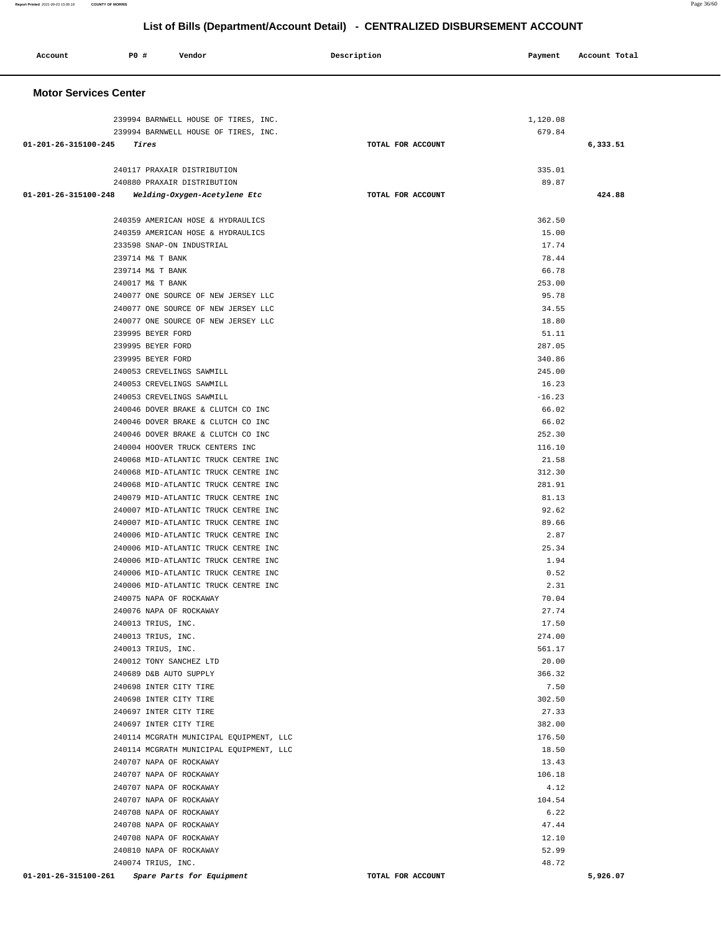| Account                      | <b>PO #</b>       | Vendor                                                          | Description       | Payment         | Account Total |
|------------------------------|-------------------|-----------------------------------------------------------------|-------------------|-----------------|---------------|
| <b>Motor Services Center</b> |                   |                                                                 |                   |                 |               |
|                              |                   | 239994 BARNWELL HOUSE OF TIRES, INC.                            |                   | 1,120.08        |               |
|                              |                   | 239994 BARNWELL HOUSE OF TIRES, INC.                            |                   | 679.84          |               |
| 01-201-26-315100-245         | Tires             |                                                                 | TOTAL FOR ACCOUNT |                 | 6,333.51      |
|                              |                   | 240117 PRAXAIR DISTRIBUTION                                     |                   | 335.01          |               |
|                              |                   | 240880 PRAXAIR DISTRIBUTION                                     |                   | 89.87           |               |
| 01-201-26-315100-248         |                   | Welding-Oxygen-Acetylene Etc                                    | TOTAL FOR ACCOUNT |                 | 424.88        |
|                              |                   | 240359 AMERICAN HOSE & HYDRAULICS                               |                   | 362.50          |               |
|                              |                   | 240359 AMERICAN HOSE & HYDRAULICS                               |                   | 15.00           |               |
|                              |                   | 233598 SNAP-ON INDUSTRIAL                                       |                   | 17.74           |               |
|                              | 239714 M& T BANK  |                                                                 |                   | 78.44           |               |
|                              | 239714 M& T BANK  |                                                                 |                   | 66.78           |               |
|                              | 240017 M& T BANK  |                                                                 |                   | 253.00          |               |
|                              |                   | 240077 ONE SOURCE OF NEW JERSEY LLC                             |                   | 95.78           |               |
|                              |                   | 240077 ONE SOURCE OF NEW JERSEY LLC                             |                   | 34.55           |               |
|                              |                   | 240077 ONE SOURCE OF NEW JERSEY LLC                             |                   | 18.80           |               |
|                              | 239995 BEYER FORD |                                                                 |                   | 51.11           |               |
|                              | 239995 BEYER FORD |                                                                 |                   | 287.05          |               |
|                              | 239995 BEYER FORD |                                                                 |                   | 340.86          |               |
|                              |                   | 240053 CREVELINGS SAWMILL<br>240053 CREVELINGS SAWMILL          |                   | 245.00<br>16.23 |               |
|                              |                   | 240053 CREVELINGS SAWMILL                                       |                   | $-16.23$        |               |
|                              |                   | 240046 DOVER BRAKE & CLUTCH CO INC                              |                   | 66.02           |               |
|                              |                   | 240046 DOVER BRAKE & CLUTCH CO INC                              |                   | 66.02           |               |
|                              |                   | 240046 DOVER BRAKE & CLUTCH CO INC                              |                   | 252.30          |               |
|                              |                   | 240004 HOOVER TRUCK CENTERS INC                                 |                   | 116.10          |               |
|                              |                   | 240068 MID-ATLANTIC TRUCK CENTRE INC                            |                   | 21.58           |               |
|                              |                   | 240068 MID-ATLANTIC TRUCK CENTRE INC                            |                   | 312.30          |               |
|                              |                   | 240068 MID-ATLANTIC TRUCK CENTRE INC                            |                   | 281.91          |               |
|                              |                   | 240079 MID-ATLANTIC TRUCK CENTRE INC                            |                   | 81.13           |               |
|                              |                   | 240007 MID-ATLANTIC TRUCK CENTRE INC                            |                   | 92.62           |               |
|                              |                   | 240007 MID-ATLANTIC TRUCK CENTRE INC                            |                   | 89.66           |               |
|                              |                   | 240006 MID-ATLANTIC TRUCK CENTRE INC                            |                   | 2.87            |               |
|                              |                   | 240006 MID-ATLANTIC TRUCK CENTRE INC                            |                   | 25.34           |               |
|                              |                   | 240006 MID-ATLANTIC TRUCK CENTRE INC                            |                   | 1.94            |               |
|                              |                   | 240006 MID-ATLANTIC TRUCK CENTRE INC                            |                   | 0.52            |               |
|                              |                   | 240006 MID-ATLANTIC TRUCK CENTRE INC<br>240075 NAPA OF ROCKAWAY |                   | 2.31<br>70.04   |               |
|                              |                   | 240076 NAPA OF ROCKAWAY                                         |                   | 27.74           |               |
|                              |                   | 240013 TRIUS, INC.                                              |                   | 17.50           |               |
|                              |                   | 240013 TRIUS, INC.                                              |                   | 274.00          |               |
|                              |                   | 240013 TRIUS, INC.                                              |                   | 561.17          |               |
|                              |                   | 240012 TONY SANCHEZ LTD                                         |                   | 20.00           |               |
|                              |                   | 240689 D&B AUTO SUPPLY                                          |                   | 366.32          |               |
|                              |                   | 240698 INTER CITY TIRE                                          |                   | 7.50            |               |
|                              |                   | 240698 INTER CITY TIRE                                          |                   | 302.50          |               |
|                              |                   | 240697 INTER CITY TIRE                                          |                   | 27.33           |               |
|                              |                   | 240697 INTER CITY TIRE                                          |                   | 382.00          |               |
|                              |                   | 240114 MCGRATH MUNICIPAL EQUIPMENT, LLC                         |                   | 176.50          |               |
|                              |                   | 240114 MCGRATH MUNICIPAL EQUIPMENT, LLC                         |                   | 18.50<br>13.43  |               |
|                              |                   | 240707 NAPA OF ROCKAWAY<br>240707 NAPA OF ROCKAWAY              |                   | 106.18          |               |
|                              |                   | 240707 NAPA OF ROCKAWAY                                         |                   | 4.12            |               |
|                              |                   | 240707 NAPA OF ROCKAWAY                                         |                   | 104.54          |               |
|                              |                   | 240708 NAPA OF ROCKAWAY                                         |                   | 6.22            |               |
|                              |                   | 240708 NAPA OF ROCKAWAY                                         |                   | 47.44           |               |
|                              |                   | 240708 NAPA OF ROCKAWAY                                         |                   | 12.10           |               |
|                              |                   | 240810 NAPA OF ROCKAWAY                                         |                   | 52.99           |               |
|                              |                   | 240074 TRIUS, INC.                                              |                   | 48.72           |               |
|                              |                   | 01-201-26-315100-261 Spare Parts for Equipment                  | TOTAL FOR ACCOUNT |                 | 5,926.07      |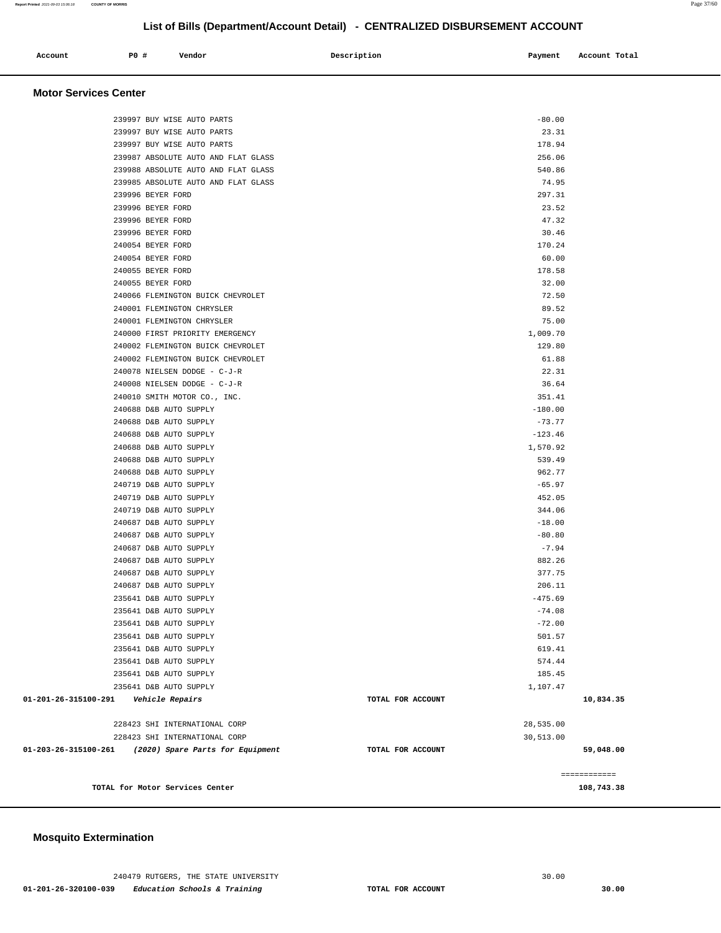### **Mosquito Extermination**

| <b>Motor Services Center</b> |                                     |                   |           |                            |
|------------------------------|-------------------------------------|-------------------|-----------|----------------------------|
|                              | 239997 BUY WISE AUTO PARTS          |                   | $-80.00$  |                            |
|                              | 239997 BUY WISE AUTO PARTS          |                   | 23.31     |                            |
|                              | 239997 BUY WISE AUTO PARTS          |                   | 178.94    |                            |
|                              | 239987 ABSOLUTE AUTO AND FLAT GLASS |                   | 256.06    |                            |
|                              | 239988 ABSOLUTE AUTO AND FLAT GLASS |                   | 540.86    |                            |
|                              | 239985 ABSOLUTE AUTO AND FLAT GLASS |                   | 74.95     |                            |
| 239996 BEYER FORD            |                                     |                   | 297.31    |                            |
| 239996 BEYER FORD            |                                     |                   | 23.52     |                            |
| 239996 BEYER FORD            |                                     |                   | 47.32     |                            |
| 239996 BEYER FORD            |                                     |                   | 30.46     |                            |
| 240054 BEYER FORD            |                                     |                   | 170.24    |                            |
| 240054 BEYER FORD            |                                     |                   | 60.00     |                            |
| 240055 BEYER FORD            |                                     |                   | 178.58    |                            |
| 240055 BEYER FORD            |                                     |                   | 32.00     |                            |
|                              | 240066 FLEMINGTON BUICK CHEVROLET   |                   | 72.50     |                            |
|                              | 240001 FLEMINGTON CHRYSLER          |                   | 89.52     |                            |
|                              | 240001 FLEMINGTON CHRYSLER          |                   | 75.00     |                            |
|                              | 240000 FIRST PRIORITY EMERGENCY     |                   | 1,009.70  |                            |
|                              | 240002 FLEMINGTON BUICK CHEVROLET   |                   | 129.80    |                            |
|                              | 240002 FLEMINGTON BUICK CHEVROLET   |                   | 61.88     |                            |
|                              | 240078 NIELSEN DODGE - C-J-R        |                   | 22.31     |                            |
|                              | 240008 NIELSEN DODGE - C-J-R        |                   | 36.64     |                            |
|                              | 240010 SMITH MOTOR CO., INC.        |                   | 351.41    |                            |
|                              | 240688 D&B AUTO SUPPLY              |                   | $-180.00$ |                            |
|                              | 240688 D&B AUTO SUPPLY              |                   | $-73.77$  |                            |
|                              | 240688 D&B AUTO SUPPLY              |                   | $-123.46$ |                            |
|                              | 240688 D&B AUTO SUPPLY              |                   | 1,570.92  |                            |
|                              | 240688 D&B AUTO SUPPLY              |                   | 539.49    |                            |
|                              | 240688 D&B AUTO SUPPLY              |                   | 962.77    |                            |
|                              | 240719 D&B AUTO SUPPLY              |                   | $-65.97$  |                            |
|                              | 240719 D&B AUTO SUPPLY              |                   | 452.05    |                            |
|                              | 240719 D&B AUTO SUPPLY              |                   | 344.06    |                            |
|                              | 240687 D&B AUTO SUPPLY              |                   | $-18.00$  |                            |
|                              | 240687 D&B AUTO SUPPLY              |                   | $-80.80$  |                            |
|                              | 240687 D&B AUTO SUPPLY              |                   | $-7.94$   |                            |
|                              | 240687 D&B AUTO SUPPLY              |                   | 882.26    |                            |
|                              | 240687 D&B AUTO SUPPLY              |                   | 377.75    |                            |
|                              | 240687 D&B AUTO SUPPLY              |                   | 206.11    |                            |
|                              | 235641 D&B AUTO SUPPLY              |                   | $-475.69$ |                            |
|                              | 235641 D&B AUTO SUPPLY              |                   | $-74.08$  |                            |
|                              | 235641 D&B AUTO SUPPLY              |                   | $-72.00$  |                            |
|                              | 235641 D&B AUTO SUPPLY              |                   | 501.57    |                            |
|                              | 235641 D&B AUTO SUPPLY              |                   | 619.41    |                            |
|                              | 235641 D&B AUTO SUPPLY              |                   | 574.44    |                            |
|                              | 235641 D&B AUTO SUPPLY              |                   | 185.45    |                            |
|                              | 235641 D&B AUTO SUPPLY              |                   | 1,107.47  |                            |
| 01-201-26-315100-291         | Vehicle Repairs                     | TOTAL FOR ACCOUNT |           | 10,834.35                  |
|                              | 228423 SHI INTERNATIONAL CORP       |                   | 28,535.00 |                            |
|                              | 228423 SHI INTERNATIONAL CORP       |                   | 30,513.00 |                            |
| 01-203-26-315100-261         | (2020) Spare Parts for Equipment    | TOTAL FOR ACCOUNT |           | 59,048.00                  |
|                              |                                     |                   |           |                            |
|                              | TOTAL for Motor Services Center     |                   |           | ============<br>108,743.38 |
|                              |                                     |                   |           |                            |

# **List of Bills (Department/Account Detail) - CENTRALIZED DISBURSEMENT ACCOUNT**

 **Account** 20 **P P**  $\uparrow$  **Payment** Payment Account Total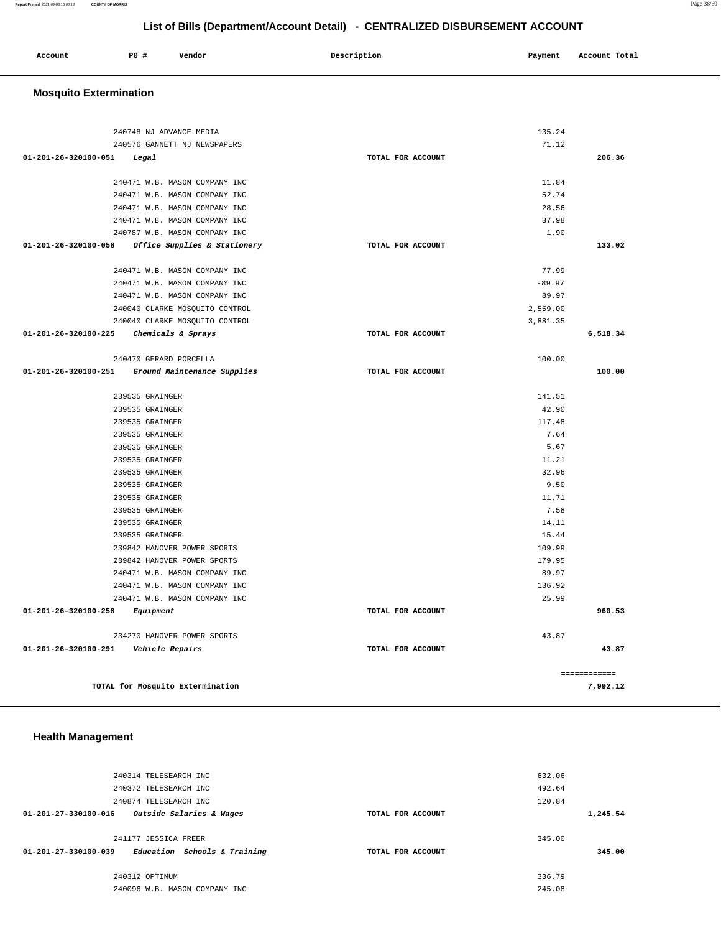|              | PO# |        | Description |         | Account Total |
|--------------|-----|--------|-------------|---------|---------------|
| Account<br>. |     | Vendor |             | Payment |               |
|              |     |        |             |         |               |

## **Mosquito Extermination**

|                                                                              |                   |          | ------------ |
|------------------------------------------------------------------------------|-------------------|----------|--------------|
|                                                                              | TOTAL FOR ACCOUNT |          |              |
| 234270 HANOVER POWER SPORTS<br>01-201-26-320100-291    Vehicle Repairs       |                   | 43.87    | 43.87        |
|                                                                              |                   |          |              |
| 01-201-26-320100-258<br>Equipment                                            | TOTAL FOR ACCOUNT |          | 960.53       |
| 240471 W.B. MASON COMPANY INC                                                |                   | 25.99    |              |
| 240471 W.B. MASON COMPANY INC                                                |                   | 136.92   |              |
| 240471 W.B. MASON COMPANY INC                                                |                   | 89.97    |              |
| 239842 HANOVER POWER SPORTS                                                  |                   | 179.95   |              |
| 239842 HANOVER POWER SPORTS                                                  |                   | 109.99   |              |
| 239535 GRAINGER                                                              |                   | 15.44    |              |
| 239535 GRAINGER                                                              |                   | 14.11    |              |
| 239535 GRAINGER                                                              |                   | 7.58     |              |
| 239535 GRAINGER                                                              |                   | 11.71    |              |
| 239535 GRAINGER                                                              |                   | 9.50     |              |
| 239535 GRAINGER                                                              |                   | 32.96    |              |
| 239535 GRAINGER                                                              |                   | 11.21    |              |
| 239535 GRAINGER                                                              |                   | 5.67     |              |
| 239535 GRAINGER                                                              |                   | 7.64     |              |
| 239535 GRAINGER                                                              |                   | 117.48   |              |
| 239535 GRAINGER                                                              |                   | 42.90    |              |
| 239535 GRAINGER                                                              |                   | 141.51   |              |
| 01-201-26-320100-251 Ground Maintenance Supplies                             | TOTAL FOR ACCOUNT |          | 100.00       |
| 240470 GERARD PORCELLA                                                       |                   | 100.00   |              |
|                                                                              |                   |          |              |
| 240040 CLARKE MOSQUITO CONTROL<br>01-201-26-320100-225<br>Chemicals & Sprays | TOTAL FOR ACCOUNT | 3,881.35 | 6,518.34     |
| 240040 CLARKE MOSQUITO CONTROL                                               |                   | 2,559.00 |              |
| 240471 W.B. MASON COMPANY INC                                                |                   | 89.97    |              |
| 240471 W.B. MASON COMPANY INC                                                |                   | $-89.97$ |              |
| 240471 W.B. MASON COMPANY INC                                                |                   | 77.99    |              |
|                                                                              |                   |          |              |
| 01-201-26-320100-058 Office Supplies & Stationery                            | TOTAL FOR ACCOUNT |          | 133.02       |
| 240787 W.B. MASON COMPANY INC                                                |                   | 1.90     |              |
| 240471 W.B. MASON COMPANY INC                                                |                   | 37.98    |              |
| 240471 W.B. MASON COMPANY INC                                                |                   | 28.56    |              |
| 240471 W.B. MASON COMPANY INC                                                |                   | 52.74    |              |
| 240471 W.B. MASON COMPANY INC                                                |                   | 11.84    |              |
| 01-201-26-320100-051<br>Legal                                                | TOTAL FOR ACCOUNT |          | 206.36       |
| 240576 GANNETT NJ NEWSPAPERS                                                 |                   |          |              |
| 240748 NJ ADVANCE MEDIA                                                      |                   | 71.12    |              |
|                                                                              |                   | 135.24   |              |

## **Health Management**

| 240314 TELESEARCH INC                                          |                   | 632.06 |          |
|----------------------------------------------------------------|-------------------|--------|----------|
| 240372 TELESEARCH INC                                          |                   | 492.64 |          |
| 240874 TELESEARCH INC                                          |                   | 120.84 |          |
| 01-201-27-330100-016<br>Outside Salaries & Wages               | TOTAL FOR ACCOUNT |        | 1,245.54 |
|                                                                |                   |        |          |
| 241177 JESSICA FREER                                           |                   | 345.00 |          |
| Education Schools & Training<br>$01 - 201 - 27 - 330100 - 039$ | TOTAL FOR ACCOUNT |        | 345.00   |
|                                                                |                   |        |          |
| 240312 OPTIMUM                                                 |                   | 336.79 |          |
| 240096 W.B. MASON COMPANY INC                                  |                   | 245.08 |          |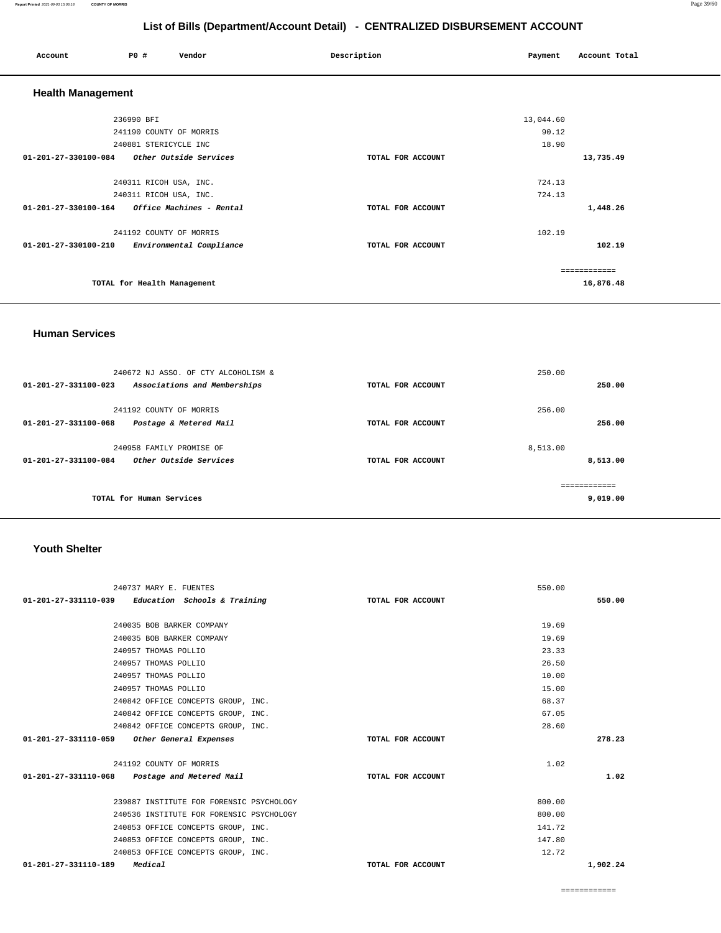550.00

| $01-201-27-331110-039$ Education Schools & Training | TOTAL FOR ACCOUNT | 550.00   |
|-----------------------------------------------------|-------------------|----------|
| 240035 BOB BARKER COMPANY                           | 19.69             |          |
| 240035 BOB BARKER COMPANY                           | 19.69             |          |
| 240957 THOMAS POLLIO                                | 23.33             |          |
| 240957 THOMAS POLLIO                                | 26.50             |          |
| 240957 THOMAS POLLIO                                | 10.00             |          |
| 240957 THOMAS POLLIO                                | 15.00             |          |
| 240842 OFFICE CONCEPTS GROUP, INC.                  | 68.37             |          |
| 240842 OFFICE CONCEPTS GROUP, INC.                  | 67.05             |          |
| 240842 OFFICE CONCEPTS GROUP, INC.                  | 28.60             |          |
| 01-201-27-331110-059 Other General Expenses         | TOTAL FOR ACCOUNT | 278.23   |
|                                                     |                   |          |
| 241192 COUNTY OF MORRIS                             | 1.02              |          |
| $01-201-27-331110-068$ Postage and Metered Mail     | TOTAL FOR ACCOUNT | 1.02     |
|                                                     |                   |          |
| 239887 INSTITUTE FOR FORENSIC PSYCHOLOGY            | 800.00            |          |
| 240536 INSTITUTE FOR FORENSIC PSYCHOLOGY            | 800.00            |          |
| 240853 OFFICE CONCEPTS GROUP, INC.                  | 141.72            |          |
| 240853 OFFICE CONCEPTS GROUP, INC.                  | 147.80            |          |
| 240853 OFFICE CONCEPTS GROUP, INC.                  | 12.72             |          |
| Medical<br>01-201-27-331110-189                     | TOTAL FOR ACCOUNT | 1,902.24 |

## **Youth Shelter**

240737 MARY E. FUENTES

|                                | 240672 NJ ASSO. OF CTY ALCOHOLISM & |                   | 250.00   |          |
|--------------------------------|-------------------------------------|-------------------|----------|----------|
| $01 - 201 - 27 - 331100 - 023$ | Associations and Memberships        | TOTAL FOR ACCOUNT |          | 250.00   |
|                                |                                     |                   |          |          |
|                                | 241192 COUNTY OF MORRIS             |                   | 256.00   |          |
| $01 - 201 - 27 - 331100 - 068$ | Postage & Metered Mail              | TOTAL FOR ACCOUNT |          | 256.00   |
|                                |                                     |                   |          |          |
|                                | 240958 FAMILY PROMISE OF            |                   | 8,513.00 |          |
| $01 - 201 - 27 - 331100 - 084$ | Other Outside Services              | TOTAL FOR ACCOUNT |          | 8,513.00 |
|                                |                                     |                   |          |          |
|                                |                                     |                   |          |          |
|                                | TOTAL for Human Services            |                   |          | 9,019.00 |
|                                |                                     |                   |          |          |

## **Human Services**

 **Health Management** 

|                      | 236990 BFI                                    | 13,044.60         |              |
|----------------------|-----------------------------------------------|-------------------|--------------|
|                      | 241190 COUNTY OF MORRIS                       | 90.12             |              |
|                      | 240881 STERICYCLE INC                         | 18.90             |              |
|                      | $01-201-27-330100-084$ Other Outside Services | TOTAL FOR ACCOUNT | 13,735.49    |
|                      |                                               |                   |              |
|                      | 240311 RICOH USA, INC.                        | 724.13            |              |
|                      | 240311 RICOH USA, INC.                        | 724.13            |              |
| 01-201-27-330100-164 | Office Machines - Rental                      | TOTAL FOR ACCOUNT | 1,448.26     |
|                      |                                               |                   |              |
|                      | 241192 COUNTY OF MORRIS                       | 102.19            |              |
| 01-201-27-330100-210 | Environmental Compliance                      | TOTAL FOR ACCOUNT | 102.19       |
|                      |                                               |                   |              |
|                      |                                               |                   | ============ |
|                      | TOTAL for Health Management                   |                   | 16,876.48    |
|                      |                                               |                   |              |

## **List of Bills (Department/Account Detail) - CENTRALIZED DISBURSEMENT ACCOUNT**

 **Account P0 # Vendor Description Payment Account Total**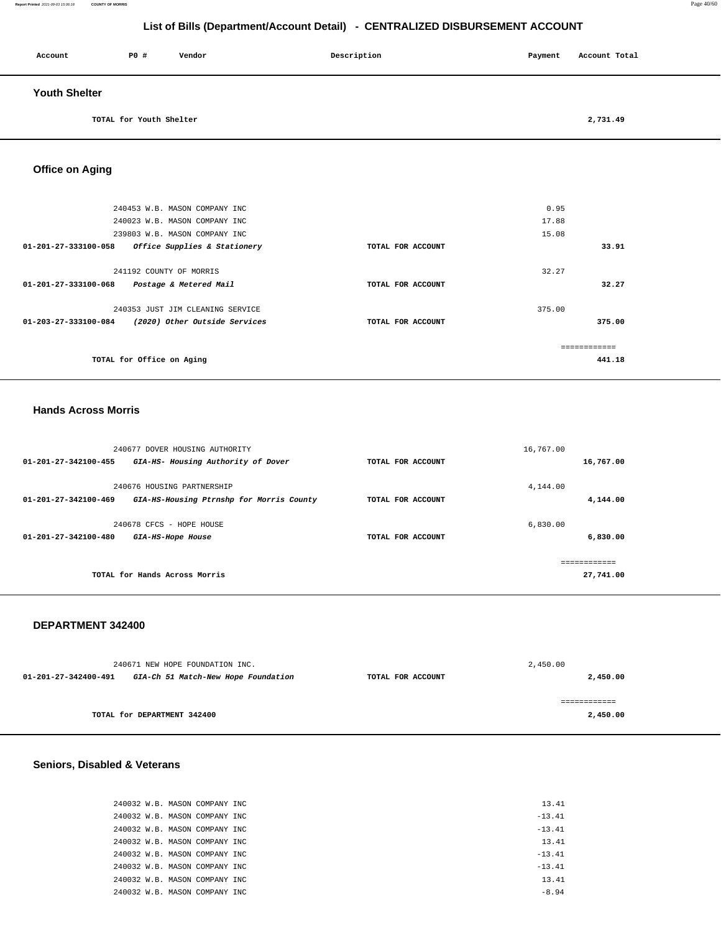### **Report Printed** 2021-09-03 15:06:18 **COUNTY OF MORRIS** Page 40/60

## **List of Bills (Department/Account Detail) - CENTRALIZED DISBURSEMENT ACCOUNT**

| Account              | P0 #                    | Vendor | Description | Payment | Account Total |
|----------------------|-------------------------|--------|-------------|---------|---------------|
| <b>Youth Shelter</b> |                         |        |             |         |               |
|                      | TOTAL for Youth Shelter |        |             |         | 2,731.49      |

**Office on Aging** 

|                      | 240453 W.B. MASON COMPANY INC    |                   | 0.95         |        |
|----------------------|----------------------------------|-------------------|--------------|--------|
|                      | 240023 W.B. MASON COMPANY INC    |                   | 17.88        |        |
|                      | 239803 W.B. MASON COMPANY INC    |                   | 15.08        |        |
| 01-201-27-333100-058 | Office Supplies & Stationery     | TOTAL FOR ACCOUNT |              | 33.91  |
|                      |                                  |                   |              |        |
|                      | 241192 COUNTY OF MORRIS          |                   | 32.27        |        |
| 01-201-27-333100-068 | Postage & Metered Mail           | TOTAL FOR ACCOUNT |              | 32.27  |
|                      |                                  |                   |              |        |
|                      | 240353 JUST JIM CLEANING SERVICE |                   | 375.00       |        |
| 01-203-27-333100-084 | (2020) Other Outside Services    | TOTAL FOR ACCOUNT |              | 375.00 |
|                      |                                  |                   |              |        |
|                      |                                  |                   | ============ |        |
|                      | TOTAL for Office on Aging        |                   |              | 441.18 |
|                      |                                  |                   |              |        |

### **Hands Across Morris**

|                                | 240677 DOVER HOUSING AUTHORITY           |                   | 16,767.00     |
|--------------------------------|------------------------------------------|-------------------|---------------|
| 01-201-27-342100-455           | GIA-HS- Housing Authority of Dover       | TOTAL FOR ACCOUNT | 16,767.00     |
|                                |                                          |                   |               |
|                                | 240676 HOUSING PARTNERSHIP               |                   | 4,144,00      |
| $01 - 201 - 27 - 342100 - 469$ | GIA-HS-Housing Ptrnshp for Morris County | TOTAL FOR ACCOUNT | 4,144.00      |
|                                |                                          |                   |               |
|                                | 240678 CFCS - HOPE HOUSE                 |                   | 6,830.00      |
| $01 - 201 - 27 - 342100 - 480$ | GIA-HS-Hope House                        | TOTAL FOR ACCOUNT | 6,830.00      |
|                                |                                          |                   |               |
|                                |                                          |                   | ------------- |
|                                | TOTAL for Hands Across Morris            |                   | 27,741.00     |
|                                |                                          |                   |               |

### **DEPARTMENT 342400**

|                      | 240671 NEW HOPE FOUNDATION INC.     |                   | 2,450.00 |
|----------------------|-------------------------------------|-------------------|----------|
| 01-201-27-342400-491 | GIA-Ch 51 Match-New Hope Foundation | TOTAL FOR ACCOUNT | 2,450.00 |
|                      |                                     |                   |          |
|                      |                                     |                   |          |
|                      | TOTAL for DEPARTMENT 342400         |                   | 2,450.00 |

## **Seniors, Disabled & Veterans**

|  |  | 240032 W.B. MASON COMPANY INC. |  |
|--|--|--------------------------------|--|
|  |  | 240032 W.B. MASON COMPANY INC. |  |
|  |  | 240032 W.B. MASON COMPANY INC. |  |
|  |  | 240032 W.B. MASON COMPANY INC. |  |
|  |  | 240032 W.B. MASON COMPANY INC  |  |
|  |  | 240032 W.B. MASON COMPANY INC  |  |
|  |  | 240032 W.B. MASON COMPANY INC  |  |
|  |  | 240032 W.B. MASON COMPANY INC  |  |
|  |  |                                |  |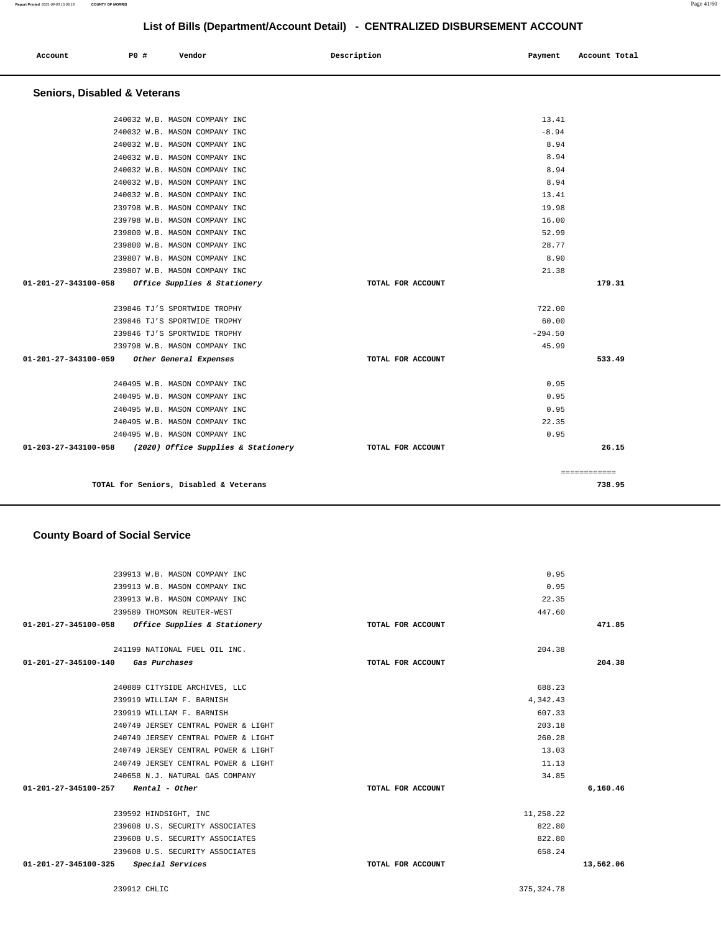### 239589 THOMSON REUTER-WEST **01-201-27-345100-058 Office Supplies & Stationery TOTAL FOR ACCOUNT**  447.60 **471.85** 241199 NATIONAL FUEL OIL INC. **01-201-27-345100-140 Gas Purchases TOTAL FOR ACCOUNT**  204.38 **204.38** 240889 CITYSIDE ARCHIVES, LLC 239919 WILLIAM F. BARNISH 239919 WILLIAM F. BARNISH 240749 JERSEY CENTRAL POWER & LIGHT 240749 JERSEY CENTRAL POWER & LIGHT 240749 JERSEY CENTRAL POWER & LIGHT 240749 JERSEY CENTRAL POWER & LIGHT 240658 N.J. NATURAL GAS COMPANY **01-201-27-345100-257 Rental - Other TOTAL FOR ACCOUNT**  688.23 4,342.43 607.33 203.18 260.28 13.03 11.13 34.85 **6,160.46** 239592 HINDSIGHT, INC 239608 U.S. SECURITY ASSOCIATES 239608 U.S. SECURITY ASSOCIATES 239608 U.S. SECURITY ASSOCIATES 11,258.22 822.80 822.80 658.24  **01-201-27-345100-325 Special Services TOTAL FOR ACCOUNT [13,562.06](https://13,562.06)**

### **County Board of Social Service**

 239913 W.B. MASON COMPANY INC 239913 W.B. MASON COMPANY INC 239913 W.B. MASON COMPANY INC

| TOTAL for Seniors, Disabled & Veterans                                                                      |                   |               | 738.95       |
|-------------------------------------------------------------------------------------------------------------|-------------------|---------------|--------------|
|                                                                                                             |                   |               | ============ |
|                                                                                                             |                   |               |              |
| 240495 W.B. MASON COMPANY INC<br>01-203-27-343100-058 (2020) Office Supplies & Stationery TOTAL FOR ACCOUNT |                   |               | 26.15        |
|                                                                                                             |                   | 0.95          |              |
| 240495 W.B. MASON COMPANY INC                                                                               |                   | 22.35         |              |
| 240495 W.B. MASON COMPANY INC                                                                               |                   | 0.95          |              |
| 240495 W.B. MASON COMPANY INC                                                                               |                   | 0.95          |              |
| 240495 W.B. MASON COMPANY INC                                                                               |                   | 0.95          |              |
| 01-201-27-343100-059 Other General Expenses                                                                 | TOTAL FOR ACCOUNT |               | 533.49       |
| 239798 W.B. MASON COMPANY INC                                                                               |                   | 45.99         |              |
| 239846 TJ'S SPORTWIDE TROPHY                                                                                |                   | $-294.50$     |              |
| 239846 TJ'S SPORTWIDE TROPHY                                                                                |                   | 60.00         |              |
| 239846 TJ'S SPORTWIDE TROPHY                                                                                |                   | 722.00        |              |
|                                                                                                             |                   |               |              |
| 01-201-27-343100-058 Office Supplies & Stationery                                                           | TOTAL FOR ACCOUNT |               | 179.31       |
| 239807 W.B. MASON COMPANY INC<br>239807 W.B. MASON COMPANY INC                                              |                   | 21.38         |              |
| 239800 W.B. MASON COMPANY INC                                                                               |                   | 28.77<br>8.90 |              |
| 239800 W.B. MASON COMPANY INC                                                                               |                   | 52.99         |              |
| 239798 W.B. MASON COMPANY INC                                                                               |                   | 16.00         |              |
| 239798 W.B. MASON COMPANY INC                                                                               |                   | 19.98         |              |
| 240032 W.B. MASON COMPANY INC                                                                               |                   | 13.41         |              |
| 240032 W.B. MASON COMPANY INC                                                                               |                   | 8.94          |              |
| 240032 W.B. MASON COMPANY INC                                                                               |                   | 8.94          |              |
| 240032 W.B. MASON COMPANY INC                                                                               |                   | 8.94          |              |
|                                                                                                             |                   |               |              |

# **Seniors, Disabled & Veterans**

| 240495 W.B. MASON COMPANY INC<br>01-203-27-343100-058 (2020) Office Supplies & Stationery | TOTAL FOR ACCOUNT | 0.95      | 26.1  |
|-------------------------------------------------------------------------------------------|-------------------|-----------|-------|
| 240495 W.B. MASON COMPANY INC                                                             |                   | 22.35     |       |
| 240495 W.B. MASON COMPANY INC                                                             |                   | 0.95      |       |
| 240495 W.B. MASON COMPANY INC                                                             |                   | 0.95      |       |
| 240495 W.B. MASON COMPANY INC                                                             |                   | 0.95      |       |
|                                                                                           |                   |           |       |
| 01-201-27-343100-059 Other General Expenses                                               | TOTAL FOR ACCOUNT |           | 533.4 |
| 239798 W.B. MASON COMPANY INC                                                             |                   | 45.99     |       |
| 239846 TJ'S SPORTWIDE TROPHY                                                              |                   | $-294.50$ |       |
| 239846 TJ'S SPORTWIDE TROPHY                                                              |                   | 60.00     |       |
| 239846 TJ'S SPORTWIDE TROPHY                                                              |                   | 722.00    |       |
| 01-201-27-343100-058 Office Supplies & Stationery                                         | TOTAL FOR ACCOUNT |           | 179.3 |
| 239807 W.B. MASON COMPANY INC                                                             |                   | 21.38     |       |
| 239807 W.B. MASON COMPANY INC                                                             |                   | 8.90      |       |
| 239800 W.B. MASON COMPANY INC                                                             |                   | 28.77     |       |
| 239800 W.B. MASON COMPANY INC                                                             |                   | 52.99     |       |
| 239798 W.B. MASON COMPANY INC                                                             |                   | 16.00     |       |
| 239798 W.B. MASON COMPANY INC                                                             |                   | 19.98     |       |
| 240032 W.B. MASON COMPANY INC                                                             |                   | 13.41     |       |
| 240032 W.B. MASON COMPANY INC                                                             |                   | 8.94      |       |
| 240032 W.B. MASON COMPANY INC                                                             |                   | 8.94      |       |
| 240032 W.B. MASON COMPANY INC                                                             |                   | 8.94      |       |
| 240032 W.B. MASON COMPANY INC                                                             |                   | 8.94      |       |
| 240032 W.B. MASON COMPANY INC                                                             |                   | $-8.94$   |       |
| 240032 W.B. MASON COMPANY INC                                                             |                   | 13.41     |       |

 **Account P0 # Vendor Description Payment Account Total**

239912 CHLIC [375,324.78](https://375,324.78) 

0.95 0.95 22.35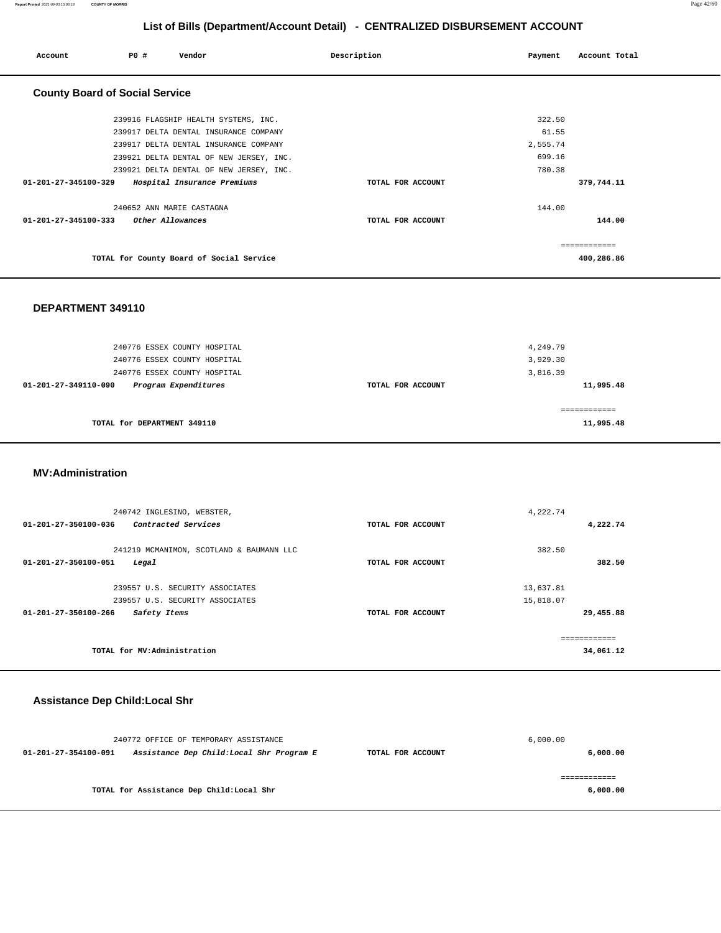**Report Printed** 2021-09-03 15:06:18 **COUNTY OF MORRIS** Page 42/60

## **List of Bills (Department/Account Detail) - CENTRALIZED DISBURSEMENT ACCOUNT**

| Account                               | PO#                       | Vendor                                   | Description       | Payment  | Account Total |
|---------------------------------------|---------------------------|------------------------------------------|-------------------|----------|---------------|
| <b>County Board of Social Service</b> |                           |                                          |                   |          |               |
|                                       |                           | 239916 FLAGSHIP HEALTH SYSTEMS, INC.     |                   | 322.50   |               |
|                                       |                           | 239917 DELTA DENTAL INSURANCE COMPANY    |                   | 61.55    |               |
|                                       |                           | 239917 DELTA DENTAL INSURANCE COMPANY    |                   | 2,555.74 |               |
|                                       |                           | 239921 DELTA DENTAL OF NEW JERSEY, INC.  |                   | 699.16   |               |
|                                       |                           | 239921 DELTA DENTAL OF NEW JERSEY, INC.  |                   | 780.38   |               |
| $01 - 201 - 27 - 345100 - 329$        |                           | Hospital Insurance Premiums              | TOTAL FOR ACCOUNT |          | 379,744.11    |
|                                       | 240652 ANN MARIE CASTAGNA |                                          |                   | 144.00   |               |
| $01 - 201 - 27 - 345100 - 333$        | Other Allowances          |                                          | TOTAL FOR ACCOUNT |          | 144.00        |
|                                       |                           |                                          |                   |          | ------------  |
|                                       |                           | TOTAL for County Board of Social Service |                   |          | 400,286.86    |

### **DEPARTMENT 349110**

| 240776 ESSEX COUNTY HOSPITAL<br>240776 ESSEX COUNTY HOSPITAL |                   | 4,249.79<br>3,929.30 |
|--------------------------------------------------------------|-------------------|----------------------|
| 240776 ESSEX COUNTY HOSPITAL                                 |                   | 3,816.39             |
| Program Expenditures<br>01-201-27-349110-090                 | TOTAL FOR ACCOUNT | 11,995.48            |
| TOTAL for DEPARTMENT 349110                                  |                   | 11,995.48            |

### **MV:Administration**

| 240742 INGLESINO, WEBSTER,                                                |                   | 4,222.74                  |
|---------------------------------------------------------------------------|-------------------|---------------------------|
| Contracted Services<br>01-201-27-350100-036                               | TOTAL FOR ACCOUNT | 4,222.74                  |
| 241219 MCMANIMON, SCOTLAND & BAUMANN LLC<br>01-201-27-350100-051<br>Legal | TOTAL FOR ACCOUNT | 382.50<br>382.50          |
| 239557 U.S. SECURITY ASSOCIATES                                           |                   | 13,637.81                 |
| 239557 U.S. SECURITY ASSOCIATES                                           |                   | 15,818.07                 |
| $01 - 201 - 27 - 350100 - 266$<br>Safety Items                            | TOTAL FOR ACCOUNT | 29,455.88                 |
| TOTAL for MV:Administration                                               |                   | ============<br>34,061.12 |

## **Assistance Dep Child:Local Shr**

|                      | 240772 OFFICE OF TEMPORARY ASSISTANCE     |                   | 6,000.00 |
|----------------------|-------------------------------------------|-------------------|----------|
| 01-201-27-354100-091 | Assistance Dep Child:Local Shr Program E  | TOTAL FOR ACCOUNT | 6,000.00 |
|                      |                                           |                   |          |
|                      | TOTAL for Assistance Dep Child: Local Shr |                   | 6,000.00 |
|                      |                                           |                   |          |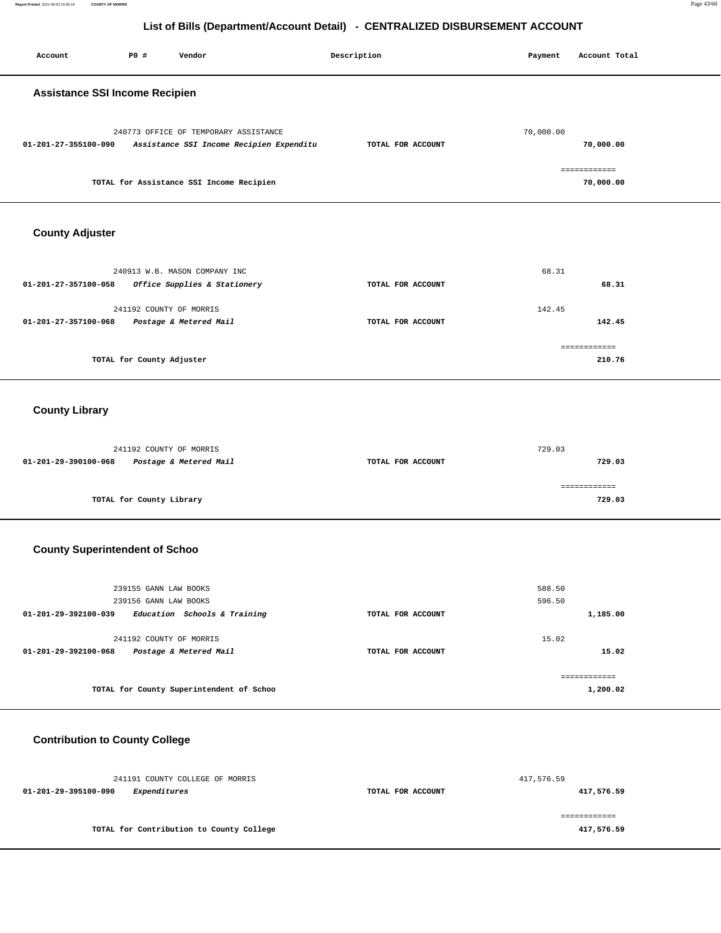| Account                               | P0 #                                           | Vendor                                                                            | Description       | Payment          | Account Total             |
|---------------------------------------|------------------------------------------------|-----------------------------------------------------------------------------------|-------------------|------------------|---------------------------|
| <b>Assistance SSI Income Recipien</b> |                                                |                                                                                   |                   |                  |                           |
| 01-201-27-355100-090                  |                                                | 240773 OFFICE OF TEMPORARY ASSISTANCE<br>Assistance SSI Income Recipien Expenditu | TOTAL FOR ACCOUNT | 70,000.00        | 70,000.00                 |
|                                       |                                                | TOTAL for Assistance SSI Income Recipien                                          |                   |                  | ============<br>70,000.00 |
| <b>County Adjuster</b>                |                                                |                                                                                   |                   |                  |                           |
| 01-201-27-357100-058                  |                                                | 240913 W.B. MASON COMPANY INC<br>Office Supplies & Stationery                     | TOTAL FOR ACCOUNT | 68.31            | 68.31                     |
| 01-201-27-357100-068                  | 241192 COUNTY OF MORRIS                        | Postage & Metered Mail                                                            | TOTAL FOR ACCOUNT | 142.45           | 142.45                    |
|                                       | TOTAL for County Adjuster                      |                                                                                   |                   |                  | ------------<br>210.76    |
| <b>County Library</b>                 |                                                |                                                                                   |                   |                  |                           |
| 01-201-29-390100-068                  | 241192 COUNTY OF MORRIS                        | Postage & Metered Mail                                                            | TOTAL FOR ACCOUNT | 729.03           | 729.03                    |
|                                       | TOTAL for County Library                       |                                                                                   |                   |                  | ============<br>729.03    |
| <b>County Superintendent of Schoo</b> |                                                |                                                                                   |                   |                  |                           |
| 01-201-29-392100-039                  | 239155 GANN LAW BOOKS<br>239156 GANN LAW BOOKS | Education Schools & Training                                                      | TOTAL FOR ACCOUNT | 588.50<br>596.50 | 1,185.00                  |
| 01-201-29-392100-068                  | 241192 COUNTY OF MORRIS                        | Postage & Metered Mail                                                            | TOTAL FOR ACCOUNT | 15.02            | 15.02                     |
|                                       |                                                | TOTAL for County Superintendent of Schoo                                          |                   |                  | ============<br>1,200.02  |
| <b>Contribution to County College</b> |                                                |                                                                                   |                   |                  |                           |
|                                       |                                                | 241191 COUNTY COLLEGE OF MORRIS                                                   |                   | 417,576.59       |                           |

**01-201-29-395100-090 Expenditures TOTAL FOR ACCOUNT 417,576.59 TOTAL for Contribution to County College**  ============ **417,576.59**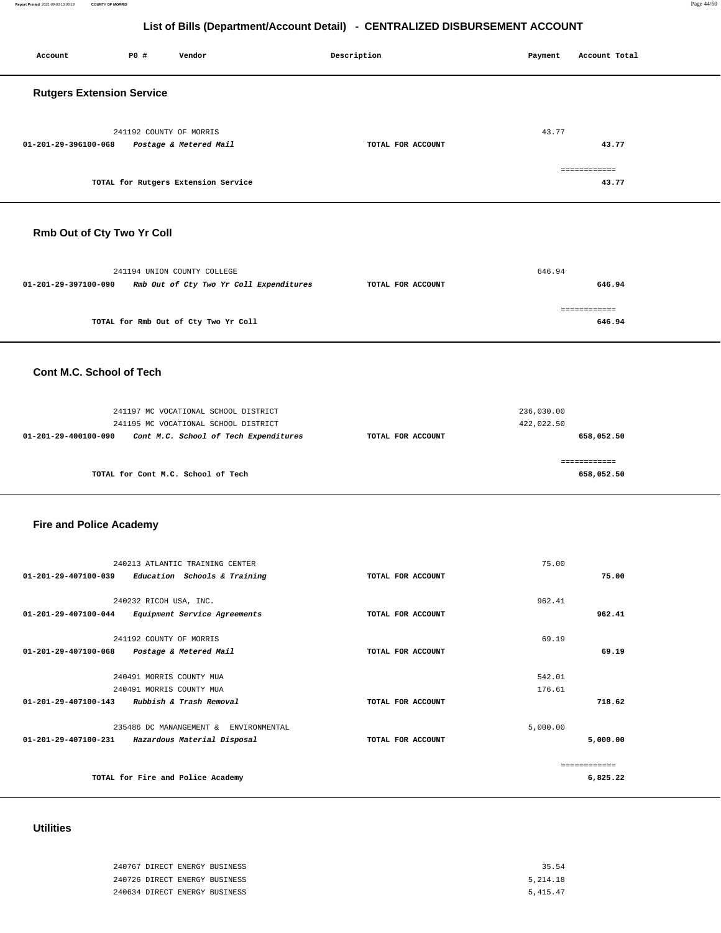**Report Printed** 2021-09-03 15:06:18 **COUNTY OF MORRIS** Page 44/60

## **List of Bills (Department/Account Detail) - CENTRALIZED DISBURSEMENT ACCOUNT**

| <b>PO #</b><br>Account<br>Vendor                                                               | Description       | Payment                  | Account Total              |  |
|------------------------------------------------------------------------------------------------|-------------------|--------------------------|----------------------------|--|
| <b>Rutgers Extension Service</b>                                                               |                   |                          |                            |  |
| 241192 COUNTY OF MORRIS<br>01-201-29-396100-068<br>Postage & Metered Mail                      | TOTAL FOR ACCOUNT | 43.77                    | 43.77                      |  |
|                                                                                                |                   |                          | ============               |  |
| TOTAL for Rutgers Extension Service                                                            |                   |                          | 43.77                      |  |
| Rmb Out of Cty Two Yr Coll                                                                     |                   |                          |                            |  |
|                                                                                                |                   | 646.94                   |                            |  |
| 241194 UNION COUNTY COLLEGE<br>01-201-29-397100-090<br>Rmb Out of Cty Two Yr Coll Expenditures | TOTAL FOR ACCOUNT |                          | 646.94                     |  |
| TOTAL for Rmb Out of Cty Two Yr Coll                                                           |                   |                          | ============<br>646.94     |  |
| Cont M.C. School of Tech                                                                       |                   |                          |                            |  |
|                                                                                                |                   |                          |                            |  |
| 241197 MC VOCATIONAL SCHOOL DISTRICT<br>241195 MC VOCATIONAL SCHOOL DISTRICT                   |                   | 236,030.00<br>422,022.50 |                            |  |
| 01-201-29-400100-090<br>Cont M.C. School of Tech Expenditures                                  | TOTAL FOR ACCOUNT |                          | 658,052.50                 |  |
| TOTAL for Cont M.C. School of Tech                                                             |                   |                          | ============<br>658,052.50 |  |
| <b>Fire and Police Academy</b>                                                                 |                   |                          |                            |  |
|                                                                                                |                   |                          |                            |  |
| 240213 ATLANTIC TRAINING CENTER<br>01-201-29-407100-039<br>Education Schools & Training        | TOTAL FOR ACCOUNT | 75.00                    | 75.00                      |  |
| 240232 RICOH USA, INC.                                                                         |                   | 962.41                   |                            |  |
| 01-201-29-407100-044<br>Equipment Service Agreements                                           | TOTAL FOR ACCOUNT |                          | 962.41                     |  |
| 241192 COUNTY OF MORRIS                                                                        |                   | 69.19                    |                            |  |
| 01-201-29-407100-068<br>Postage & Metered Mail                                                 | TOTAL FOR ACCOUNT |                          | 69.19                      |  |
| 240491 MORRIS COUNTY MUA<br>240491 MORRIS COUNTY MUA                                           |                   | 542.01<br>176.61         |                            |  |
| 01-201-29-407100-143 Rubbish & Trash Removal                                                   | TOTAL FOR ACCOUNT |                          | 718.62                     |  |
| 235486 DC MANANGEMENT & ENVIRONMENTAL                                                          |                   | 5,000.00                 |                            |  |
| 01-201-29-407100-231 Hazardous Material Disposal                                               | TOTAL FOR ACCOUNT |                          | 5,000.00                   |  |
| TOTAL for Fire and Police Academy                                                              |                   |                          | ============<br>6,825.22   |  |

# **Utilities**

| 240767 DIRECT ENERGY BUSINESS | 35.54    |
|-------------------------------|----------|
| 240726 DIRECT ENERGY BUSINESS | 5,214.18 |
| 240634 DIRECT ENERGY BUSINESS | 5,415.47 |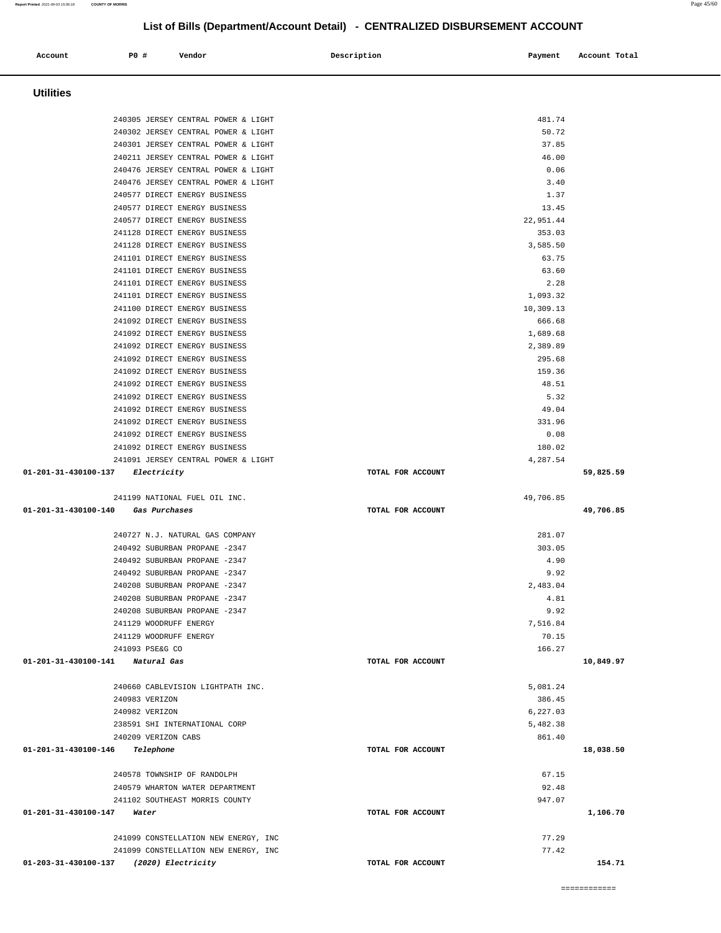| <b>Utilities</b>                                                                |                   |                    |           |
|---------------------------------------------------------------------------------|-------------------|--------------------|-----------|
| 240305 JERSEY CENTRAL POWER & LIGHT                                             |                   | 481.74             |           |
| 240302 JERSEY CENTRAL POWER & LIGHT                                             |                   | 50.72              |           |
| 240301 JERSEY CENTRAL POWER & LIGHT                                             |                   | 37.85              |           |
| 240211 JERSEY CENTRAL POWER & LIGHT                                             |                   | 46.00              |           |
| 240476 JERSEY CENTRAL POWER & LIGHT                                             |                   | 0.06               |           |
| 240476 JERSEY CENTRAL POWER & LIGHT                                             |                   | 3.40               |           |
| 240577 DIRECT ENERGY BUSINESS                                                   |                   | 1.37               |           |
| 240577 DIRECT ENERGY BUSINESS<br>240577 DIRECT ENERGY BUSINESS                  |                   | 13.45<br>22,951.44 |           |
| 241128 DIRECT ENERGY BUSINESS                                                   |                   | 353.03             |           |
| 241128 DIRECT ENERGY BUSINESS                                                   |                   | 3,585.50           |           |
| 241101 DIRECT ENERGY BUSINESS                                                   |                   | 63.75              |           |
| 241101 DIRECT ENERGY BUSINESS                                                   |                   | 63.60              |           |
| 241101 DIRECT ENERGY BUSINESS                                                   |                   | 2.28               |           |
| 241101 DIRECT ENERGY BUSINESS                                                   |                   | 1,093.32           |           |
| 241100 DIRECT ENERGY BUSINESS                                                   |                   | 10,309.13          |           |
| 241092 DIRECT ENERGY BUSINESS<br>241092 DIRECT ENERGY BUSINESS                  |                   | 666.68<br>1,689.68 |           |
| 241092 DIRECT ENERGY BUSINESS                                                   |                   | 2,389.89           |           |
| 241092 DIRECT ENERGY BUSINESS                                                   |                   | 295.68             |           |
| 241092 DIRECT ENERGY BUSINESS                                                   |                   | 159.36             |           |
| 241092 DIRECT ENERGY BUSINESS                                                   |                   | 48.51              |           |
| 241092 DIRECT ENERGY BUSINESS                                                   |                   | 5.32               |           |
| 241092 DIRECT ENERGY BUSINESS                                                   |                   | 49.04              |           |
| 241092 DIRECT ENERGY BUSINESS                                                   |                   | 331.96             |           |
| 241092 DIRECT ENERGY BUSINESS                                                   |                   | 0.08               |           |
| 241092 DIRECT ENERGY BUSINESS                                                   |                   | 180.02             |           |
| 241091 JERSEY CENTRAL POWER & LIGHT                                             |                   | 4,287.54           |           |
| 01-201-31-430100-137 Electricity                                                | TOTAL FOR ACCOUNT |                    | 59,825.59 |
|                                                                                 |                   |                    |           |
| 241199 NATIONAL FUEL OIL INC.                                                   |                   | 49,706.85          |           |
| 01-201-31-430100-140<br>Gas Purchases                                           | TOTAL FOR ACCOUNT |                    | 49,706.85 |
| 240727 N.J. NATURAL GAS COMPANY                                                 |                   |                    |           |
| 240492 SUBURBAN PROPANE -2347                                                   |                   | 281.07<br>303.05   |           |
| 240492 SUBURBAN PROPANE -2347                                                   |                   | 4.90               |           |
| 240492 SUBURBAN PROPANE -2347                                                   |                   | 9.92               |           |
| 240208 SUBURBAN PROPANE -2347                                                   |                   | 2,483.04           |           |
| 240208 SUBURBAN PROPANE -2347                                                   |                   | 4.81               |           |
| 240208 SUBURBAN PROPANE -2347                                                   |                   | 9.92               |           |
| 241129 WOODRUFF ENERGY                                                          |                   | 7,516.84           |           |
| 241129 WOODRUFF ENERGY                                                          |                   | 70.15              |           |
| 241093 PSE&G CO                                                                 |                   | 166.27             |           |
| 01-201-31-430100-141 Natural Gas                                                | TOTAL FOR ACCOUNT |                    | 10,849.97 |
| 240660 CABLEVISION LIGHTPATH INC.                                               |                   | 5,081.24           |           |
| 240983 VERIZON                                                                  |                   | 386.45             |           |
| 240982 VERIZON                                                                  |                   | 6,227.03           |           |
| 238591 SHI INTERNATIONAL CORP                                                   |                   | 5,482.38           |           |
| 240209 VERIZON CABS                                                             |                   | 861.40             |           |
| 01-201-31-430100-146<br>Telephone                                               | TOTAL FOR ACCOUNT |                    | 18,038.50 |
| 240578 TOWNSHIP OF RANDOLPH                                                     |                   | 67.15              |           |
| 240579 WHARTON WATER DEPARTMENT                                                 |                   | 92.48              |           |
| 241102 SOUTHEAST MORRIS COUNTY                                                  |                   | 947.07             |           |
| 01-201-31-430100-147<br>Water                                                   | TOTAL FOR ACCOUNT |                    | 1,106.70  |
|                                                                                 |                   |                    |           |
| 241099 CONSTELLATION NEW ENERGY, INC                                            |                   | 77.29              |           |
| 241099 CONSTELLATION NEW ENERGY, INC<br>01-203-31-430100-137 (2020) Electricity | TOTAL FOR ACCOUNT | 77.42              | 154.71    |

Account 20 **P** Pomdor Payment Recount Potal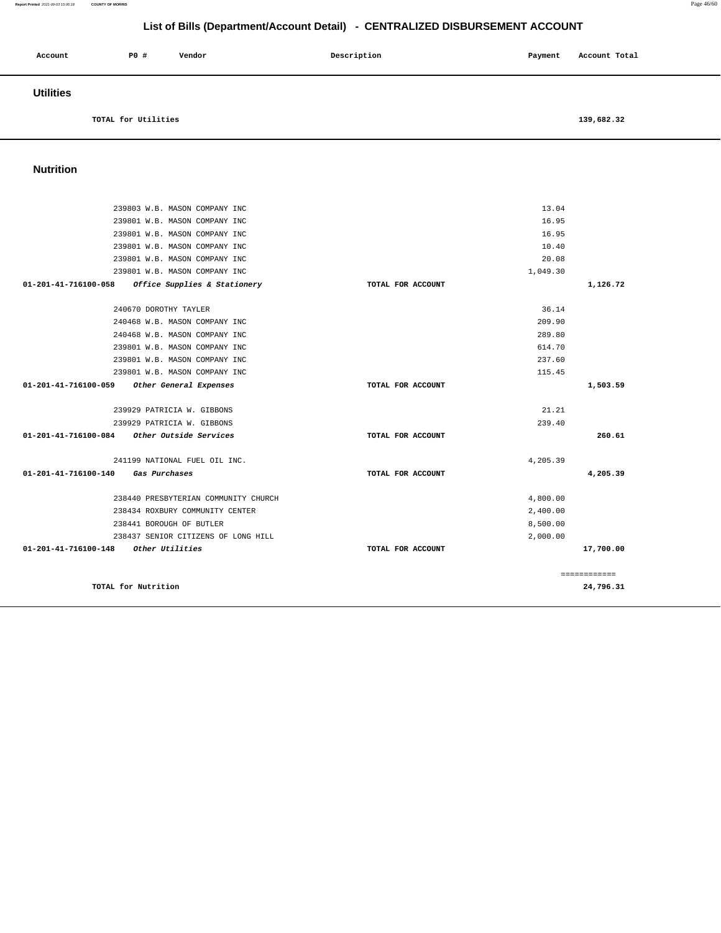| Account          | <b>PO #</b>         | Vendor | Description | Payment | Account Total |
|------------------|---------------------|--------|-------------|---------|---------------|
| <b>Utilities</b> |                     |        |             |         |               |
|                  | TOTAL for Utilities |        |             |         | 139,682.32    |

## **Nutrition**

| 239803 W.B. MASON COMPANY INC                                  |                   | 13.04    |              |
|----------------------------------------------------------------|-------------------|----------|--------------|
| 239801 W.B. MASON COMPANY INC                                  |                   | 16.95    |              |
| 239801 W.B. MASON COMPANY INC                                  |                   | 16.95    |              |
| 239801 W.B. MASON COMPANY INC                                  |                   | 10.40    |              |
| 239801 W.B. MASON COMPANY INC                                  |                   | 20.08    |              |
| 239801 W.B. MASON COMPANY INC                                  |                   | 1,049.30 |              |
| $01 - 201 - 41 - 716100 - 058$<br>Office Supplies & Stationery | TOTAL FOR ACCOUNT |          | 1,126.72     |
| 240670 DOROTHY TAYLER                                          |                   | 36.14    |              |
| 240468 W.B. MASON COMPANY INC                                  |                   | 209.90   |              |
| 240468 W.B. MASON COMPANY INC                                  |                   | 289.80   |              |
| 239801 W.B. MASON COMPANY INC                                  |                   | 614.70   |              |
| 239801 W.B. MASON COMPANY INC                                  |                   | 237.60   |              |
| 239801 W.B. MASON COMPANY INC                                  |                   | 115.45   |              |
| $01 - 201 - 41 - 716100 - 059$<br>Other General Expenses       | TOTAL FOR ACCOUNT |          | 1,503.59     |
| 239929 PATRICIA W. GIBBONS                                     |                   | 21.21    |              |
| 239929 PATRICIA W. GIBBONS                                     |                   | 239.40   |              |
| 01-201-41-716100-084<br>Other Outside Services                 | TOTAL FOR ACCOUNT |          | 260.61       |
| 241199 NATIONAL FUEL OIL INC.                                  |                   | 4,205.39 |              |
| 01-201-41-716100-140<br>Gas Purchases                          | TOTAL FOR ACCOUNT |          | 4,205.39     |
| 238440 PRESBYTERIAN COMMUNITY CHURCH                           |                   | 4,800.00 |              |
| 238434 ROXBURY COMMUNITY CENTER                                |                   | 2,400.00 |              |
| 238441 BOROUGH OF BUTLER                                       |                   | 8,500.00 |              |
| 238437 SENIOR CITIZENS OF LONG HILL                            |                   | 2,000.00 |              |
| 01-201-41-716100-148<br>Other Utilities                        | TOTAL FOR ACCOUNT |          | 17,700.00    |
|                                                                |                   |          |              |
|                                                                |                   |          | ============ |
| TOTAL for Nutrition                                            |                   |          | 24,796.31    |
|                                                                |                   |          |              |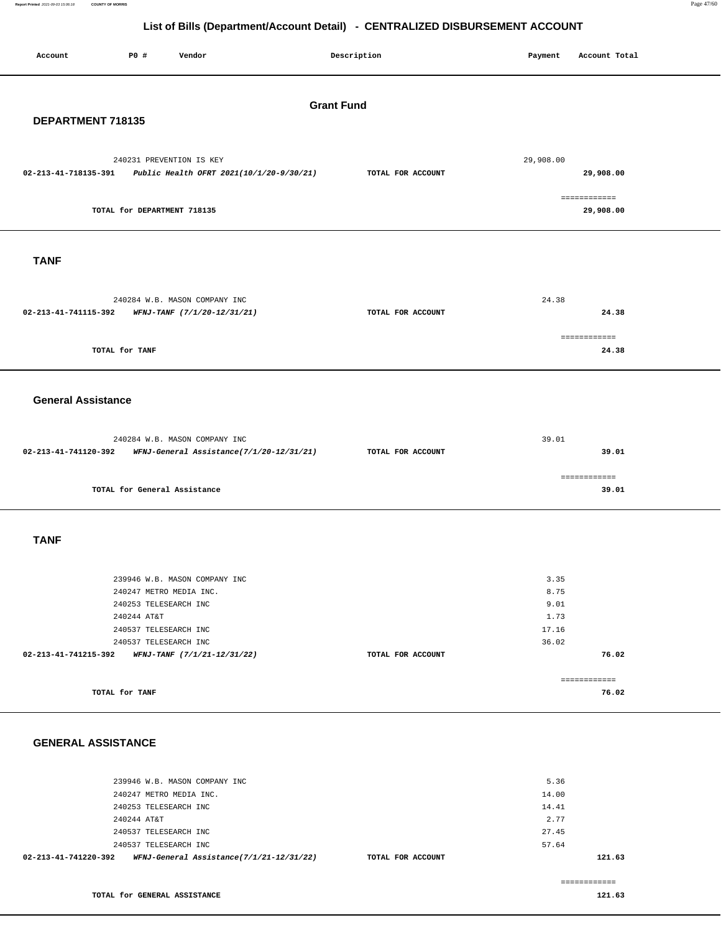| P0 #<br>Vendor<br>Account                                                                    | Description       | Payment<br>Account Total  |  |  |  |  |  |
|----------------------------------------------------------------------------------------------|-------------------|---------------------------|--|--|--|--|--|
| <b>Grant Fund</b>                                                                            |                   |                           |  |  |  |  |  |
| DEPARTMENT 718135                                                                            |                   |                           |  |  |  |  |  |
|                                                                                              |                   |                           |  |  |  |  |  |
| 240231 PREVENTION IS KEY<br>02-213-41-718135-391<br>Public Health OFRT 2021(10/1/20-9/30/21) | TOTAL FOR ACCOUNT | 29,908.00<br>29,908.00    |  |  |  |  |  |
| TOTAL for DEPARTMENT 718135                                                                  |                   | ============<br>29,908.00 |  |  |  |  |  |
| <b>TANF</b>                                                                                  |                   |                           |  |  |  |  |  |
|                                                                                              |                   |                           |  |  |  |  |  |
| 240284 W.B. MASON COMPANY INC<br>02-213-41-741115-392<br>WFNJ-TANF (7/1/20-12/31/21)         | TOTAL FOR ACCOUNT | 24.38<br>24.38            |  |  |  |  |  |
|                                                                                              |                   |                           |  |  |  |  |  |
|                                                                                              |                   | ============              |  |  |  |  |  |
| TOTAL for TANF                                                                               |                   | 24.38                     |  |  |  |  |  |
| <b>General Assistance</b>                                                                    |                   |                           |  |  |  |  |  |
| 240284 W.B. MASON COMPANY INC                                                                |                   | 39.01                     |  |  |  |  |  |
| 02-213-41-741120-392<br>WFNJ-General Assistance(7/1/20-12/31/21)                             | TOTAL FOR ACCOUNT | 39.01                     |  |  |  |  |  |
| TOTAL for General Assistance                                                                 |                   | ============<br>39.01     |  |  |  |  |  |
| <b>TANF</b>                                                                                  |                   |                           |  |  |  |  |  |
| 239946 W.B. MASON COMPANY INC                                                                |                   | 3.35                      |  |  |  |  |  |
| 240247 METRO MEDIA INC.                                                                      |                   | 8.75                      |  |  |  |  |  |
| 240253 TELESEARCH INC                                                                        |                   | 9.01                      |  |  |  |  |  |
| 240244 AT&T                                                                                  |                   | 1.73                      |  |  |  |  |  |
| 240537 TELESEARCH INC<br>240537 TELESEARCH INC                                               |                   | 17.16<br>36.02            |  |  |  |  |  |
| 02-213-41-741215-392 WFNJ-TANF $(7/1/21-12/31/22)$                                           | TOTAL FOR ACCOUNT | 76.02                     |  |  |  |  |  |
|                                                                                              |                   |                           |  |  |  |  |  |
| TOTAL for TANF                                                                               |                   | ============<br>76.02     |  |  |  |  |  |
|                                                                                              |                   |                           |  |  |  |  |  |
|                                                                                              |                   |                           |  |  |  |  |  |
| <b>GENERAL ASSISTANCE</b>                                                                    |                   |                           |  |  |  |  |  |

| 02-213-41-741220-392          | WFNJ-General Assistance(7/1/21-12/31/22) | TOTAL FOR ACCOUNT | 121.63 |
|-------------------------------|------------------------------------------|-------------------|--------|
| 240537 TELESEARCH INC         |                                          | 57.64             |        |
| 240537 TELESEARCH INC         |                                          | 27.45             |        |
| 240244 AT&T                   |                                          | 2.77              |        |
| 240253 TELESEARCH INC         |                                          | 14.41             |        |
| 240247 METRO MEDIA INC.       |                                          | 14.00             |        |
| 239946 W.B. MASON COMPANY INC |                                          | 5.36              |        |

============

**TOTAL for GENERAL ASSISTANCE**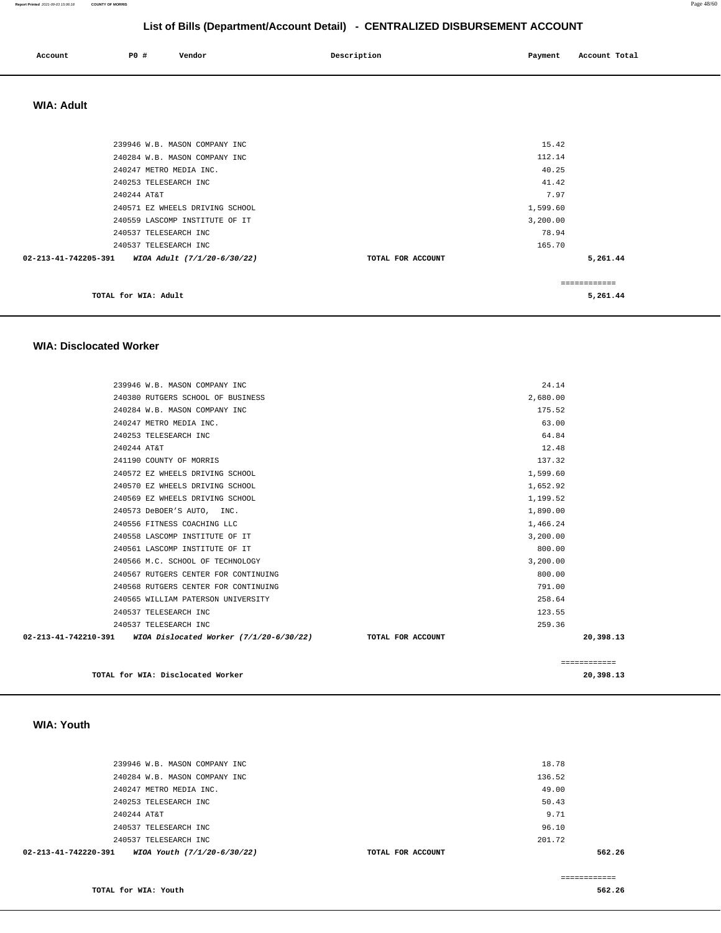### **Report Printed** 2021-09-03 15:06:18 **COUNTY OF MORRIS** Page 48/60

## **List of Bills (Department/Account Detail) - CENTRALIZED DISBURSEMENT ACCOUNT**

| Account | PO# | Vendor | Description | Payment | Account Total |
|---------|-----|--------|-------------|---------|---------------|
|         |     |        |             |         |               |

## **WIA: Adult**

| 239946 W.B. MASON COMPANY INC                       |                   | 15.42        |
|-----------------------------------------------------|-------------------|--------------|
| 240284 W.B. MASON COMPANY INC                       |                   | 112.14       |
| 240247 METRO MEDIA INC.                             |                   | 40.25        |
| 240253 TELESEARCH INC                               |                   | 41.42        |
| 240244 AT&T                                         |                   | 7.97         |
| 240571 EZ WHEELS DRIVING SCHOOL                     |                   | 1,599.60     |
| 240559 LASCOMP INSTITUTE OF IT                      |                   | 3,200.00     |
| 240537 TELESEARCH INC                               |                   | 78.94        |
| 240537 TELESEARCH INC                               |                   | 165.70       |
| 02-213-41-742205-391<br>WIOA Adult (7/1/20-6/30/22) | TOTAL FOR ACCOUNT | 5,261.44     |
|                                                     |                   | ============ |
| TOTAL for WIA: Adult                                |                   | 5,261.44     |

### **WIA: Disclocated Worker**

| 239946 W.B. MASON COMPANY INC                                |                   | 24.14    |              |
|--------------------------------------------------------------|-------------------|----------|--------------|
| 240380 RUTGERS SCHOOL OF BUSINESS                            |                   | 2,680.00 |              |
| 240284 W.B. MASON COMPANY INC                                |                   | 175.52   |              |
| 240247 METRO MEDIA INC.                                      |                   | 63.00    |              |
| 240253 TELESEARCH INC                                        |                   | 64.84    |              |
| 240244 AT&T                                                  |                   | 12.48    |              |
| 241190 COUNTY OF MORRIS                                      |                   | 137.32   |              |
| 240572 EZ WHEELS DRIVING SCHOOL                              |                   | 1,599.60 |              |
| 240570 EZ WHEELS DRIVING SCHOOL                              |                   | 1,652.92 |              |
| 240569 EZ WHEELS DRIVING SCHOOL                              |                   | 1,199.52 |              |
| 240573 DeBOER'S AUTO, INC.                                   |                   | 1,890.00 |              |
| 240556 FITNESS COACHING LLC                                  |                   | 1,466.24 |              |
| 240558 LASCOMP INSTITUTE OF IT                               |                   | 3,200.00 |              |
| 240561 LASCOMP INSTITUTE OF IT                               |                   | 800.00   |              |
| 240566 M.C. SCHOOL OF TECHNOLOGY                             |                   | 3,200.00 |              |
| 240567 RUTGERS CENTER FOR CONTINUING                         |                   | 800.00   |              |
| 240568 RUTGERS CENTER FOR CONTINUING                         |                   | 791.00   |              |
| 240565 WILLIAM PATERSON UNIVERSITY                           |                   | 258.64   |              |
| 240537 TELESEARCH INC                                        |                   | 123.55   |              |
| 240537 TELESEARCH INC                                        |                   | 259.36   |              |
| 02-213-41-742210-391 WIOA Dislocated Worker (7/1/20-6/30/22) | TOTAL FOR ACCOUNT |          | 20,398.13    |
|                                                              |                   |          |              |
|                                                              |                   |          | ============ |
| TOTAL for WIA: Disclocated Worker                            |                   |          | 20,398.13    |

### **WIA: Youth**

| 240537 TELESEARCH INC         | 201.72 |  |
|-------------------------------|--------|--|
| 240537 TELESEARCH INC         | 96.10  |  |
| 240244 AT&T                   | 9.71   |  |
| 240253 TELESEARCH INC         | 50.43  |  |
| 240247 METRO MEDIA INC.       | 49.00  |  |
| 240284 W.B. MASON COMPANY INC | 136.52 |  |
| 239946 W.B. MASON COMPANY INC | 18.78  |  |
|                               |        |  |

============

**TOTAL for WIA: Youth** 

**562.26**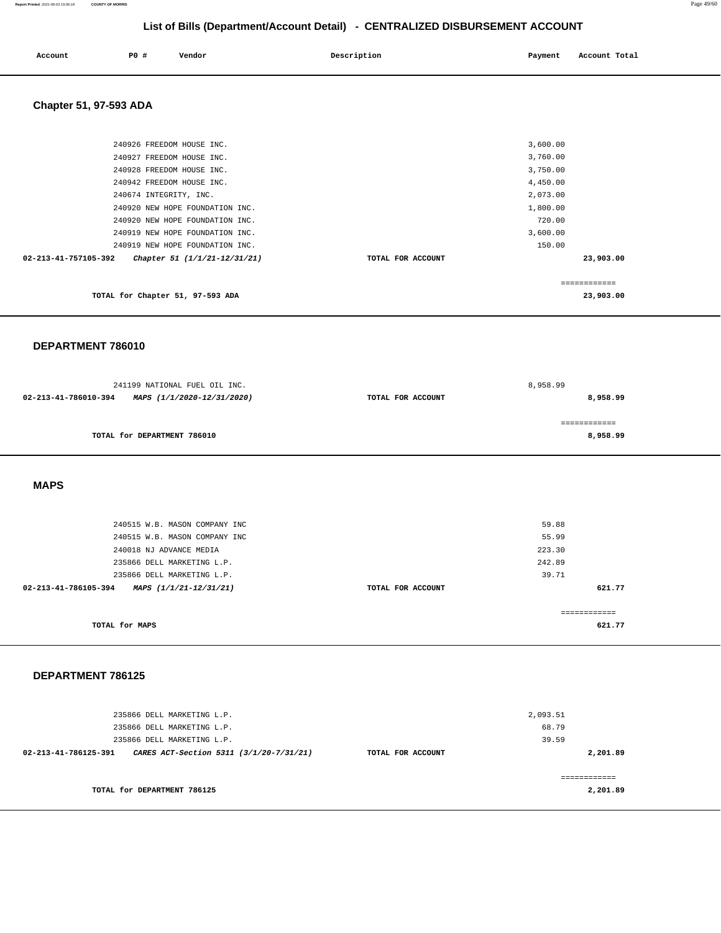| Account | P0 | Vendor | Description | Payment | Account Total |  |
|---------|----|--------|-------------|---------|---------------|--|
|         |    |        |             |         |               |  |

 **Chapter 51, 97-593 ADA** 

| TOTAL for Chapter 51, 97-593 ADA                     |                   | 23,903.00 |  |
|------------------------------------------------------|-------------------|-----------|--|
| 02-213-41-757105-392<br>Chapter 51 (1/1/21-12/31/21) | TOTAL FOR ACCOUNT | 23,903.00 |  |
| 240919 NEW HOPE FOUNDATION INC.                      |                   | 150.00    |  |
| 240919 NEW HOPE FOUNDATION INC.                      |                   | 3,600.00  |  |
| 240920 NEW HOPE FOUNDATION INC.                      |                   | 720.00    |  |
| 240920 NEW HOPE FOUNDATION INC.                      |                   | 1,800.00  |  |
| 240674 INTEGRITY, INC.                               |                   | 2,073.00  |  |
| 240942 FREEDOM HOUSE INC.                            |                   | 4,450.00  |  |
| 240928 FREEDOM HOUSE INC.                            |                   | 3,750.00  |  |
| 240927 FREEDOM HOUSE INC.                            |                   | 3,760.00  |  |
| 240926 FREEDOM HOUSE INC.                            |                   | 3,600.00  |  |
|                                                      |                   |           |  |

### **DEPARTMENT 786010**

| 241199 NATIONAL FUEL OIL INC.                      |                   | 8,958.99     |
|----------------------------------------------------|-------------------|--------------|
| 02-213-41-786010-394<br>MAPS (1/1/2020-12/31/2020) | TOTAL FOR ACCOUNT | 8,958.99     |
|                                                    |                   |              |
|                                                    |                   | ============ |
| TOTAL for DEPARTMENT 786010                        |                   | 8,958.99     |
|                                                    |                   |              |

 **MAPS** 

| 240515 W.B. MASON COMPANY INC<br>240515 W.B. MASON COMPANY INC |                   | 59.88<br>55.99 |
|----------------------------------------------------------------|-------------------|----------------|
| 240018 NJ ADVANCE MEDIA                                        |                   | 223.30         |
| 235866 DELL MARKETING L.P.                                     |                   | 242.89         |
| 235866 DELL MARKETING L.P.                                     |                   | 39.71          |
| 02-213-41-786105-394<br>MAPS (1/1/21-12/31/21)                 | TOTAL FOR ACCOUNT | 621.77         |
| TOTAL for MAPS                                                 |                   | 621.77         |

### **DEPARTMENT 786125**

| 235866 DELL MARKETING L.P.<br>235866 DELL MARKETING L.P.        |                   | 2,093.51<br>68.79 |  |
|-----------------------------------------------------------------|-------------------|-------------------|--|
| 235866 DELL MARKETING L.P.                                      |                   | 39.59             |  |
| 02-213-41-786125-391<br>CARES ACT-Section 5311 (3/1/20-7/31/21) | TOTAL FOR ACCOUNT | 2,201.89          |  |
| TOTAL for DEPARTMENT 786125                                     |                   | 2,201.89          |  |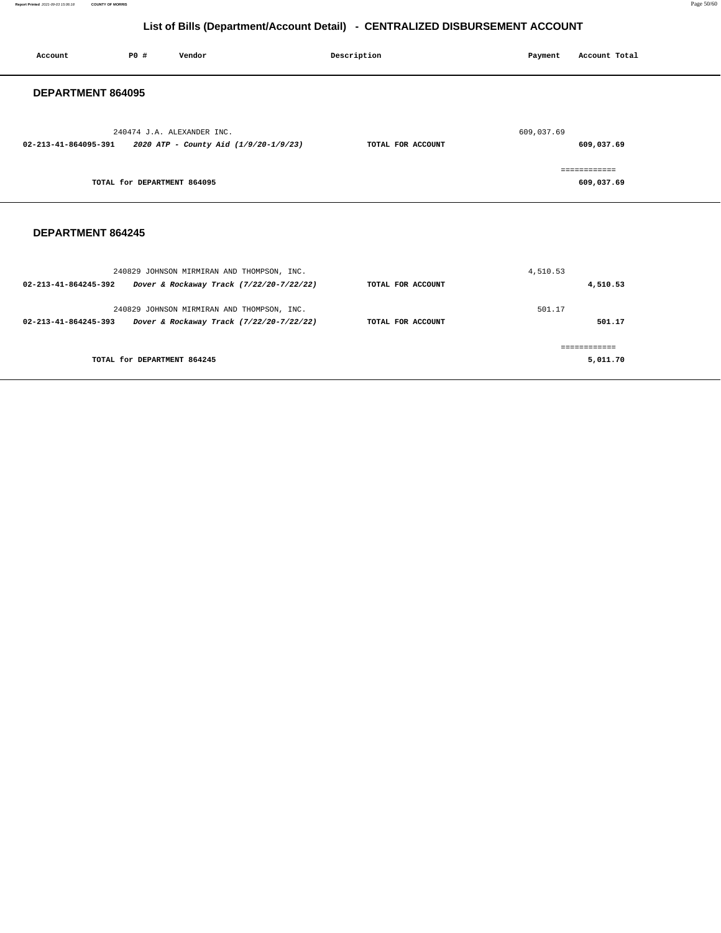**Report Printed** 2021-09-03 15:06:18 **COUNTY OF MORRIS** Page 50/60

## **List of Bills (Department/Account Detail) - CENTRALIZED DISBURSEMENT ACCOUNT**

| Account                  | <b>PO #</b>                 | Vendor                                                              | Description       | Payment    | Account Total              |
|--------------------------|-----------------------------|---------------------------------------------------------------------|-------------------|------------|----------------------------|
| DEPARTMENT 864095        |                             |                                                                     |                   |            |                            |
| 02-213-41-864095-391     |                             | 240474 J.A. ALEXANDER INC.<br>2020 ATP - County Aid (1/9/20-1/9/23) | TOTAL FOR ACCOUNT | 609,037.69 | 609,037.69                 |
|                          | TOTAL for DEPARTMENT 864095 |                                                                     |                   |            | ------------<br>609,037.69 |
| <b>DEPARTMENT 864245</b> |                             |                                                                     |                   |            |                            |

| 240829 JOHNSON MIRMIRAN AND THOMPSON, INC.                                                                               |                   | 4,510.53         |
|--------------------------------------------------------------------------------------------------------------------------|-------------------|------------------|
| 02-213-41-864245-392<br>Dover & Rockaway Track (7/22/20-7/22/22)                                                         | TOTAL FOR ACCOUNT | 4,510.53         |
| 240829 JOHNSON MIRMIRAN AND THOMPSON, INC.<br>$02 - 213 - 41 - 864245 - 393$<br>Dover & Rockaway Track (7/22/20-7/22/22) | TOTAL FOR ACCOUNT | 501.17<br>501.17 |
| TOTAL for DEPARTMENT 864245                                                                                              |                   | 5,011.70         |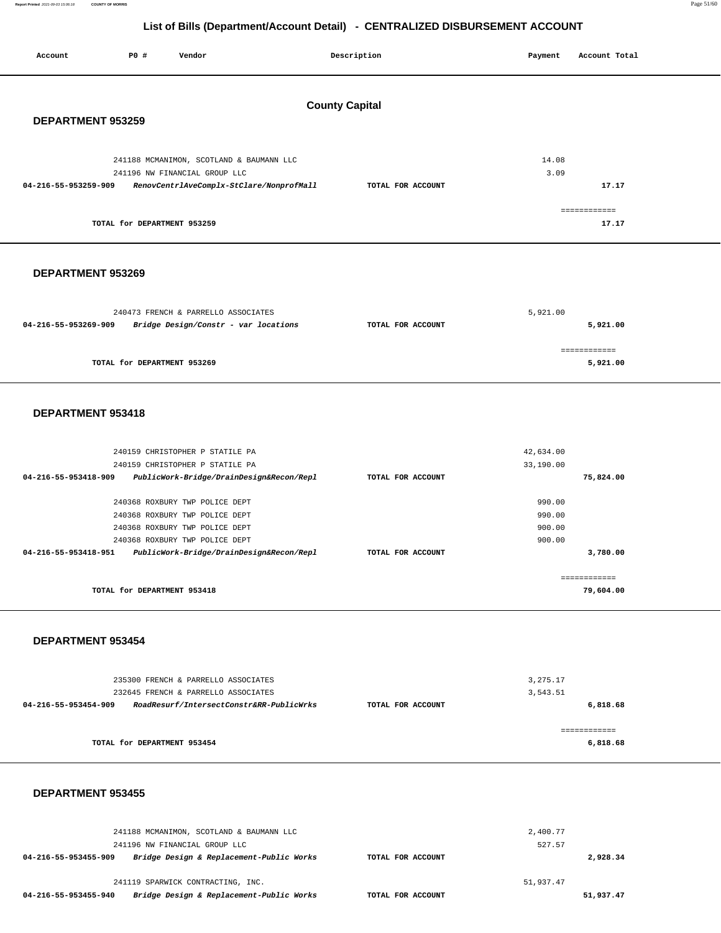**Report Printed** 2021-09-03 15:06:18 **COUNTY OF MORRIS** Page 51/60

## **List of Bills (Department/Account Detail) - CENTRALIZED DISBURSEMENT ACCOUNT**

| Account              | <b>PO #</b>                 | Vendor                                                                      |                       | Description       | Payment                | Account Total             |
|----------------------|-----------------------------|-----------------------------------------------------------------------------|-----------------------|-------------------|------------------------|---------------------------|
| DEPARTMENT 953259    |                             |                                                                             | <b>County Capital</b> |                   |                        |                           |
|                      |                             |                                                                             |                       |                   |                        |                           |
|                      |                             | 241188 MCMANIMON, SCOTLAND & BAUMANN LLC<br>241196 NW FINANCIAL GROUP LLC   |                       |                   | 14.08<br>3.09          |                           |
| 04-216-55-953259-909 |                             | RenovCentrlAveComplx-StClare/NonprofMall                                    |                       | TOTAL FOR ACCOUNT |                        | 17.17                     |
|                      | TOTAL for DEPARTMENT 953259 |                                                                             |                       |                   |                        | ============<br>17.17     |
| DEPARTMENT 953269    |                             |                                                                             |                       |                   |                        |                           |
| 04-216-55-953269-909 |                             | 240473 FRENCH & PARRELLO ASSOCIATES<br>Bridge Design/Constr - var locations |                       | TOTAL FOR ACCOUNT | 5,921.00               | 5,921.00                  |
|                      | TOTAL for DEPARTMENT 953269 |                                                                             |                       |                   |                        | ============<br>5,921.00  |
| DEPARTMENT 953418    |                             |                                                                             |                       |                   |                        |                           |
|                      |                             | 240159 CHRISTOPHER P STATILE PA<br>240159 CHRISTOPHER P STATILE PA          |                       |                   | 42,634.00<br>33,190.00 |                           |
| 04-216-55-953418-909 |                             | PublicWork-Bridge/DrainDesign&Recon/Repl                                    |                       | TOTAL FOR ACCOUNT |                        | 75,824.00                 |
|                      |                             |                                                                             |                       |                   |                        |                           |
|                      |                             | 240368 ROXBURY TWP POLICE DEPT<br>240368 ROXBURY TWP POLICE DEPT            |                       |                   | 990.00<br>990.00       |                           |
|                      |                             | 240368 ROXBURY TWP POLICE DEPT                                              |                       |                   | 900.00                 |                           |
|                      |                             | 240368 ROXBURY TWP POLICE DEPT                                              |                       |                   | 900.00                 |                           |
| 04-216-55-953418-951 |                             | PublicWork-Bridge/DrainDesign&Recon/Repl                                    |                       | TOTAL FOR ACCOUNT |                        | 3,780.00                  |
|                      | TOTAL for DEPARTMENT 953418 |                                                                             |                       |                   |                        | ============<br>79,604.00 |
| DEPARTMENT 953454    |                             |                                                                             |                       |                   |                        |                           |
|                      |                             | 235300 FRENCH & PARRELLO ASSOCIATES<br>232645 FRENCH & PARRELLO ASSOCIATES  |                       |                   | 3, 275.17<br>3,543.51  |                           |
| 04-216-55-953454-909 |                             | RoadResurf/IntersectConstr&RR-PublicWrks                                    |                       | TOTAL FOR ACCOUNT |                        | 6,818.68                  |
|                      | TOTAL for DEPARTMENT 953454 |                                                                             |                       |                   |                        | ============<br>6,818.68  |
| DEPARTMENT 953455    |                             |                                                                             |                       |                   |                        |                           |

241188 MCMANIMON, SCOTLAND & BAUMANN LLC 241196 NW FINANCIAL GROUP LLC **04-216-55-953455-909 Bridge Design & Replacement-Public Works TOTAL FOR ACCOUNT**  2,400.77 527.57 **2,928.34** 241119 SPARWICK CONTRACTING, INC. **04-216-55-953455-940 Bridge Design & Replacement-Public Works TOTAL FOR ACCOUNT**  51,937.47 **51,937.47**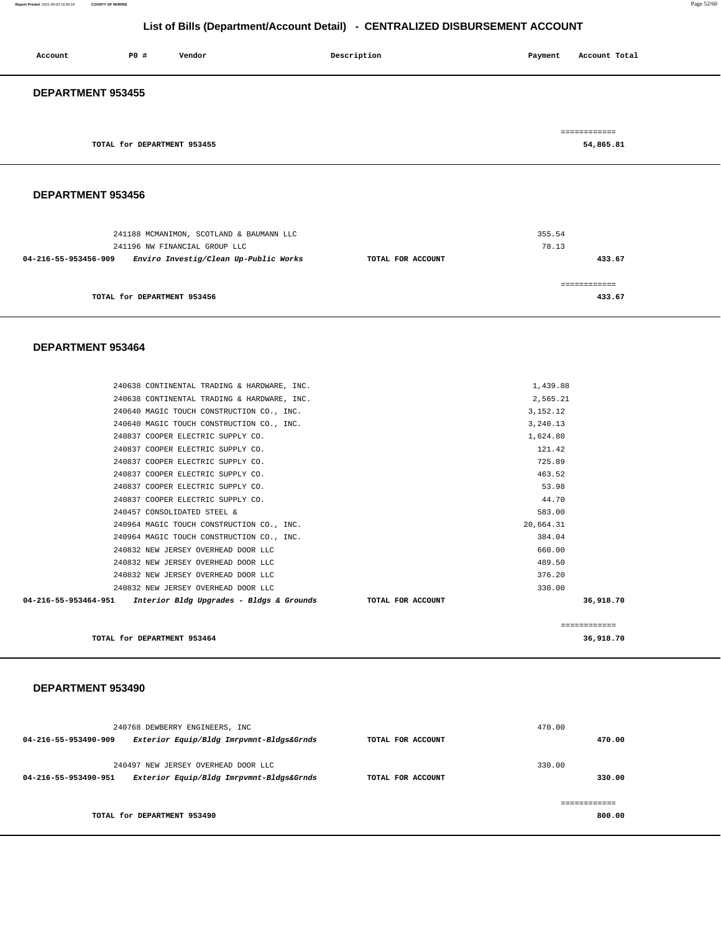| 240768 DEWBERRY ENGINEERS, INC<br>Exterior Equip/Bldg Imrpvmnt-Bldgs&Grnds<br>04-216-55-953490-909 | TOTAL FOR ACCOUNT | 470.00 | 470.00 |
|----------------------------------------------------------------------------------------------------|-------------------|--------|--------|
|                                                                                                    |                   |        |        |
| 240497 NEW JERSEY OVERHEAD DOOR LLC                                                                |                   | 330.00 |        |
| 04-216-55-953490-951<br>Exterior Equip/Bldg Imrpvmnt-Bldgs&Grnds                                   | TOTAL FOR ACCOUNT |        | 330.00 |
|                                                                                                    |                   |        |        |
| TOTAL for DEPARTMENT 953490                                                                        |                   |        | 800.00 |

### **DEPARTMENT 953490**

| 240638 CONTINENTAL TRADING & HARDWARE, INC.                                     | 1,439.88     |
|---------------------------------------------------------------------------------|--------------|
| 240638 CONTINENTAL TRADING & HARDWARE, INC.                                     | 2,565.21     |
| 240640 MAGIC TOUCH CONSTRUCTION CO., INC.                                       | 3.152.12     |
| 240640 MAGIC TOUCH CONSTRUCTION CO., INC.                                       | 3,240.13     |
| 240837 COOPER ELECTRIC SUPPLY CO.                                               | 1,624.80     |
| 240837 COOPER ELECTRIC SUPPLY CO.                                               | 121.42       |
| 240837 COOPER ELECTRIC SUPPLY CO.                                               | 725.89       |
| 240837 COOPER ELECTRIC SUPPLY CO.                                               | 463.52       |
| 240837 COOPER ELECTRIC SUPPLY CO.                                               | 53.98        |
| 240837 COOPER ELECTRIC SUPPLY CO.                                               | 44.70        |
| 240457 CONSOLIDATED STEEL &                                                     | 583.00       |
| 240964 MAGIC TOUCH CONSTRUCTION CO., INC.                                       | 20.664.31    |
| 240964 MAGIC TOUCH CONSTRUCTION CO., INC.                                       | 384.04       |
| 240832 NEW JERSEY OVERHEAD DOOR LLC                                             | 660.00       |
| 240832 NEW JERSEY OVERHEAD DOOR LLC                                             | 489.50       |
| 240832 NEW JERSEY OVERHEAD DOOR LLC                                             | 376.20       |
| 240832 NEW JERSEY OVERHEAD DOOR LLC                                             | 330.00       |
| 04-216-55-953464-951 Interior Bldg Upgrades - Bldgs & Grounds TOTAL FOR ACCOUNT | 36,918.70    |
|                                                                                 | ============ |

**TOTAL for DEPARTMENT 953464 36,918.70**

### **DEPARTMENT 953464**

| <b>DEPARIMENI 933430</b>                                      |                   |               |
|---------------------------------------------------------------|-------------------|---------------|
|                                                               |                   |               |
| 241188 MCMANIMON, SCOTLAND & BAUMANN LLC                      |                   | 355.54        |
| 241196 NW FINANCIAL GROUP LLC                                 |                   | 78.13         |
| Enviro Investig/Clean Up-Public Works<br>04-216-55-953456-909 | TOTAL FOR ACCOUNT | 433.67        |
|                                                               |                   | ------------- |
| TOTAL for DEPARTMENT 953456                                   |                   | 433.67        |

## **DEPARTMENT 953456**

 **DEPARTMENT 953455** 

|                             | -------------<br>------------ |
|-----------------------------|-------------------------------|
| TOTAL for DEPARTMENT 953455 | 54,865.81                     |
|                             |                               |

 **Account P0 # Vendor Description Payment Account Total**

# **List of Bills (Department/Account Detail) - CENTRALIZED DISBURSEMENT ACCOUNT**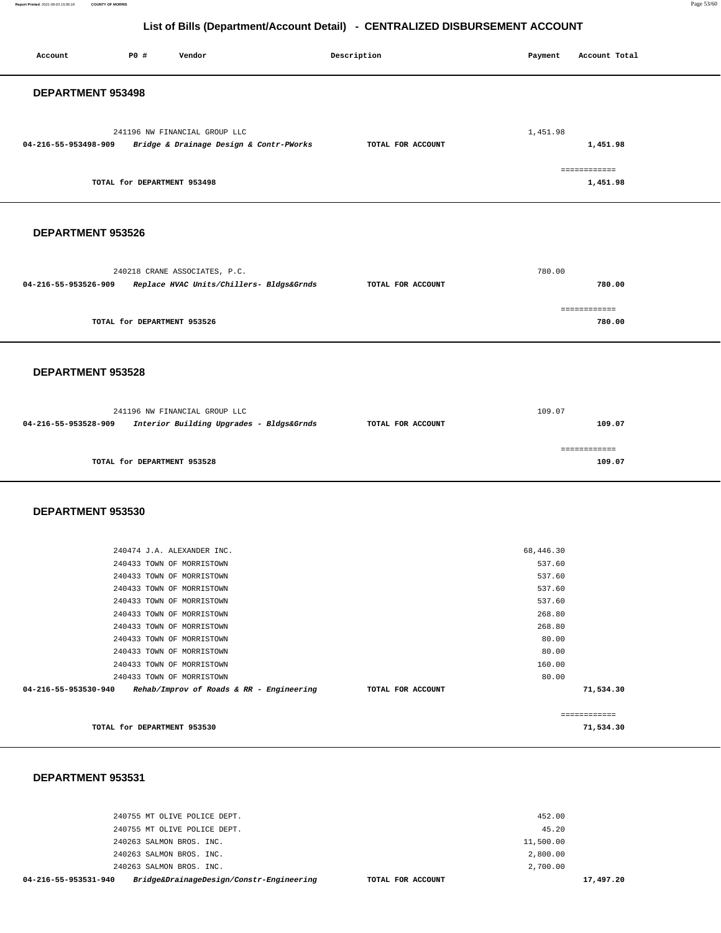**Report Printed** 2021-09-03 15:06:18 **COUNTY OF MORRIS** Page 53/60

## **List of Bills (Department/Account Detail) - CENTRALIZED DISBURSEMENT ACCOUNT**

| Account              | P0 #                        | Vendor                                                                    | Description       | Payment          | Account Total            |
|----------------------|-----------------------------|---------------------------------------------------------------------------|-------------------|------------------|--------------------------|
| DEPARTMENT 953498    |                             |                                                                           |                   |                  |                          |
| 04-216-55-953498-909 |                             | 241196 NW FINANCIAL GROUP LLC<br>Bridge & Drainage Design & Contr-PWorks  | TOTAL FOR ACCOUNT | 1,451.98         | 1,451.98                 |
|                      | TOTAL for DEPARTMENT 953498 |                                                                           |                   |                  | ------------<br>1,451.98 |
| DEPARTMENT 953526    |                             |                                                                           |                   |                  |                          |
| 04-216-55-953526-909 |                             | 240218 CRANE ASSOCIATES, P.C.<br>Replace HVAC Units/Chillers- Bldgs&Grnds | TOTAL FOR ACCOUNT | 780.00           | 780.00                   |
|                      |                             |                                                                           |                   |                  | ============             |
|                      | TOTAL for DEPARTMENT 953526 |                                                                           |                   |                  | 780.00                   |
| DEPARTMENT 953528    |                             |                                                                           |                   |                  |                          |
| 04-216-55-953528-909 |                             | 241196 NW FINANCIAL GROUP LLC<br>Interior Building Upgrades - Bldgs&Grnds | TOTAL FOR ACCOUNT | 109.07           | 109.07                   |
|                      | TOTAL for DEPARTMENT 953528 |                                                                           |                   |                  | ------------<br>109.07   |
| DEPARTMENT 953530    |                             |                                                                           |                   |                  |                          |
|                      |                             | 240474 J.A. ALEXANDER INC.                                                |                   | 68,446.30        |                          |
|                      |                             | 240433 TOWN OF MORRISTOWN                                                 |                   | 537.60           |                          |
|                      |                             | 240433 TOWN OF MORRISTOWN<br>240433 TOWN OF MORRISTOWN                    |                   | 537.60<br>537.60 |                          |
|                      |                             | 240433 TOWN OF MORRISTOWN                                                 |                   | 537.60           |                          |
|                      |                             | 240433 TOWN OF MORRISTOWN                                                 |                   | 268.80           |                          |
|                      |                             | 240433 TOWN OF MORRISTOWN                                                 |                   | 268.80           |                          |
|                      |                             | 240433 TOWN OF MORRISTOWN                                                 |                   | 80.00            |                          |
|                      |                             | 240433 TOWN OF MORRISTOWN                                                 |                   | 80.00            |                          |
|                      |                             | 240433 TOWN OF MORRISTOWN                                                 |                   | 160.00           |                          |
|                      |                             | 240433 TOWN OF MORRISTOWN                                                 |                   | 80.00            |                          |
| 04-216-55-953530-940 |                             | Rehab/Improv of Roads & RR - Engineering                                  | TOTAL FOR ACCOUNT |                  | 71,534.30                |
|                      |                             |                                                                           |                   |                  | ------------             |
|                      | TOTAL for DEPARTMENT 953530 |                                                                           |                   |                  | 71,534.30                |

### **DEPARTMENT 953531**

| Bridge&DrainageDesign/Constr-Engineering<br>04-216-55-953531-940 | TOTAL FOR ACCOUNT | 17,497.20 |
|------------------------------------------------------------------|-------------------|-----------|
| 240263 SALMON BROS. INC.                                         | 2,700.00          |           |
| 240263 SALMON BROS. INC.                                         | 2,800.00          |           |
| 240263 SALMON BROS. INC.                                         | 11,500.00         |           |
| 240755 MT OLIVE POLICE DEPT.                                     | 45.20             |           |
| 240755 MT OLIVE POLICE DEPT.                                     | 452.00            |           |
|                                                                  |                   |           |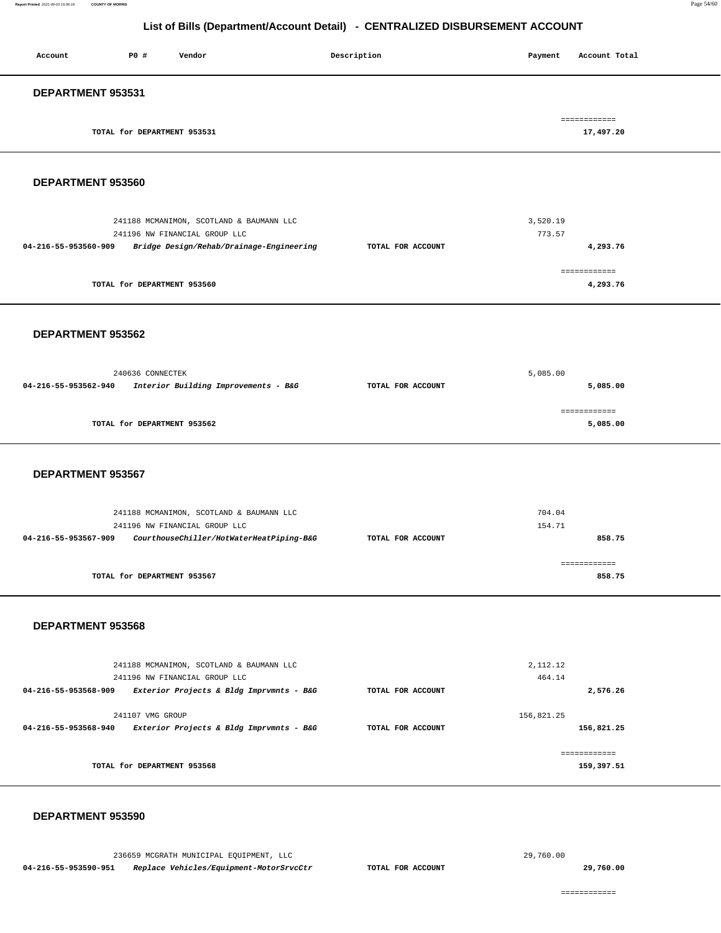### **Report Printed** 2021-09-03 15:06:18 **COUNTY OF MORRIS** Page 54/60

### **List of Bills (Department/Account Detail) - CENTRALIZED DISBURSEMENT ACCOUNT**

| Account                  | PO#                         | Vendor | Description | Account Total<br>Payment  |
|--------------------------|-----------------------------|--------|-------------|---------------------------|
| <b>DEPARTMENT 953531</b> |                             |        |             |                           |
|                          | TOTAL for DEPARTMENT 953531 |        |             | ============<br>17,497.20 |

### **DEPARTMENT 953560**

| 241188 MCMANIMON, SCOTLAND & BAUMANN LLC<br>241196 NW FINANCIAL GROUP LLC |                   | 3,520.19<br>773.57 |
|---------------------------------------------------------------------------|-------------------|--------------------|
| Bridge Design/Rehab/Drainage-Engineering<br>04-216-55-953560-909          | TOTAL FOR ACCOUNT | 4,293.76           |
|                                                                           |                   |                    |
| TOTAL for DEPARTMENT 953560                                               |                   | 4,293.76           |

### **DEPARTMENT 953562**

| 240636 CONNECTEK     |                                      | 5,085.00          |          |
|----------------------|--------------------------------------|-------------------|----------|
| 04-216-55-953562-940 | Interior Building Improvements - B&G | TOTAL FOR ACCOUNT | 5,085.00 |
|                      | TOTAL for DEPARTMENT 953562          |                   | 5,085.00 |

### **DEPARTMENT 953567**

| 241188 MCMANIMON, SCOTLAND & BAUMANN LLC<br>241196 NW FINANCIAL GROUP LLC |                   | 704.04<br>154.71 |
|---------------------------------------------------------------------------|-------------------|------------------|
| CourthouseChiller/HotWaterHeatPiping-B&G<br>04-216-55-953567-909          | TOTAL FOR ACCOUNT | 858.75           |
| TOTAL for DEPARTMENT 953567                                               |                   | 858.75           |

### **DEPARTMENT 953568**

|                      | 241188 MCMANIMON, SCOTLAND & BAUMANN LLC<br>241196 NW FINANCIAL GROUP LLC |                   | 2, 112.12<br>464.14       |
|----------------------|---------------------------------------------------------------------------|-------------------|---------------------------|
| 04-216-55-953568-909 | Exterior Projects & Bldg Imprvmnts - B&G                                  | TOTAL FOR ACCOUNT | 2,576.26                  |
| 04-216-55-953568-940 | 241107 VMG GROUP<br>Exterior Projects & Bldg Imprvmnts - B&G              | TOTAL FOR ACCOUNT | 156.821.25<br>156,821.25  |
|                      | TOTAL for DEPARTMENT 953568                                               |                   | -----------<br>159,397.51 |

### **DEPARTMENT 953590**

236659 MCGRATH MUNICIPAL EQUIPMENT, LLC **04-216-55-953590-951 Replace Vehicles/Equipment-MotorSrvcCtr TOTAL FOR ACCOUNT** 

29,760.00

**29,760.00**

============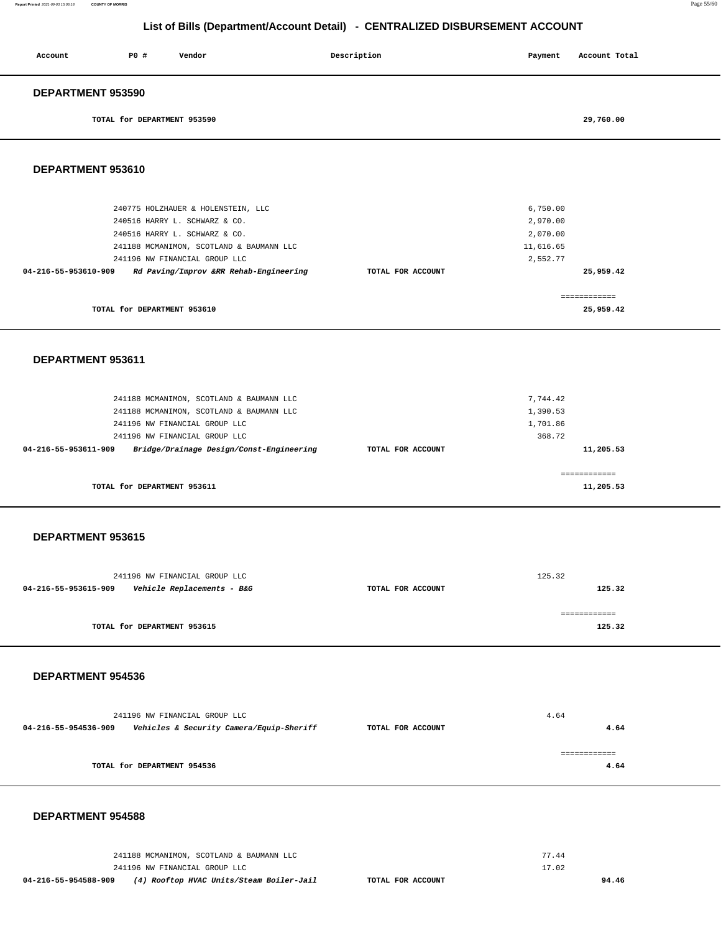| Account           | PO#                         | Vendor | Description | Payment | Account Total |
|-------------------|-----------------------------|--------|-------------|---------|---------------|
| DEPARTMENT 953590 |                             |        |             |         |               |
|                   | TOTAL for DEPARTMENT 953590 |        |             |         | 29,760.00     |

### **DEPARTMENT 953610**

| 240775 HOLZHAUER & HOLENSTEIN, LLC                             |                   | 6,750.00  |
|----------------------------------------------------------------|-------------------|-----------|
| 240516 HARRY L. SCHWARZ & CO.                                  |                   | 2,970.00  |
| 240516 HARRY L. SCHWARZ & CO.                                  |                   | 2,070,00  |
| 241188 MCMANIMON, SCOTLAND & BAUMANN LLC                       |                   | 11,616.65 |
| 241196 NW FINANCIAL GROUP LLC                                  |                   | 2,552.77  |
| Rd Paving/Improv &RR Rehab-Engineering<br>04-216-55-953610-909 | TOTAL FOR ACCOUNT | 25,959.42 |
|                                                                |                   |           |
|                                                                |                   |           |
| TOTAL for DEPARTMENT 953610                                    |                   | 25,959.42 |
|                                                                |                   |           |

### **DEPARTMENT 953611**

| 241188 MCMANIMON, SCOTLAND & BAUMANN LLC                         |                   | 7.744.42     |
|------------------------------------------------------------------|-------------------|--------------|
| 241188 MCMANIMON, SCOTLAND & BAUMANN LLC                         |                   | 1,390.53     |
| 241196 NW FINANCIAL GROUP LLC                                    |                   | 1,701.86     |
| 241196 NW FINANCIAL GROUP LLC                                    |                   | 368.72       |
| Bridge/Drainage Design/Const-Engineering<br>04-216-55-953611-909 | TOTAL FOR ACCOUNT | 11,205.53    |
|                                                                  |                   |              |
|                                                                  |                   | ------------ |
| TOTAL for DEPARTMENT 953611                                      |                   | 11,205.53    |
|                                                                  |                   |              |

### **DEPARTMENT 953615**

| 241196 NW FINANCIAL GROUP LLC                                 |                   | 125.32 |
|---------------------------------------------------------------|-------------------|--------|
| <i>Vehicle Replacements - B&amp;G</i><br>04-216-55-953615-909 | TOTAL FOR ACCOUNT | 125.32 |
|                                                               |                   |        |
|                                                               |                   |        |
| TOTAL for DEPARTMENT 953615                                   |                   | 125.32 |
|                                                               |                   |        |

### **DEPARTMENT 954536**

|                      | 241196 NW FINANCIAL GROUP LLC            |                   | 4.64 |
|----------------------|------------------------------------------|-------------------|------|
| 04-216-55-954536-909 | Vehicles & Security Camera/Equip-Sheriff | TOTAL FOR ACCOUNT | 4.64 |
|                      |                                          |                   |      |
|                      | TOTAL for DEPARTMENT 954536              |                   | 4.64 |
|                      |                                          |                   |      |

### **DEPARTMENT 954588**

| 04-216-55-954588-909 | (4) Rooftop HVAC Units/Steam Boiler-Jail | TOTAL FOR ACCOUNT | 94.46 |  |
|----------------------|------------------------------------------|-------------------|-------|--|
|                      | 241196 NW FINANCIAL GROUP LLC            |                   | 17.02 |  |
|                      | 241188 MCMANIMON, SCOTLAND & BAUMANN LLC |                   | 77.44 |  |
|                      |                                          |                   |       |  |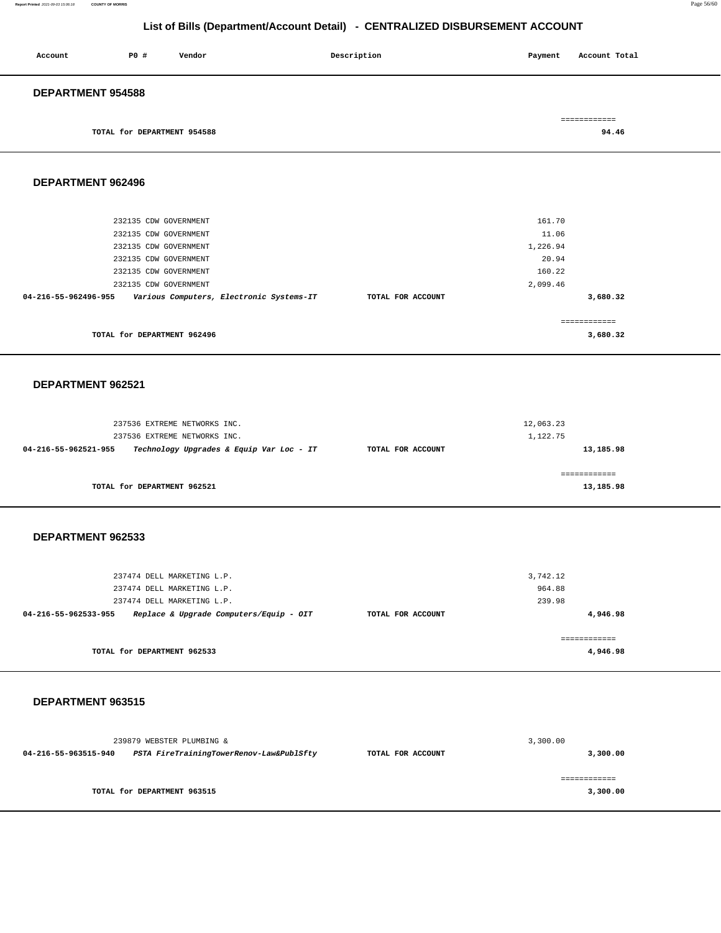### **Report Printed** 2021-09-03 15:06:18 **COUNTY OF MORRIS** Page 56/60

## **List of Bills (Department/Account Detail) - CENTRALIZED DISBURSEMENT ACCOUNT**

| Account                  | PO#                         | Vendor | Description | Payment | Account Total |  |
|--------------------------|-----------------------------|--------|-------------|---------|---------------|--|
| <b>DEPARTMENT 954588</b> |                             |        |             |         |               |  |
|                          |                             |        |             |         | ============  |  |
|                          | TOTAL for DEPARTMENT 954588 |        |             |         | 94.46         |  |

**DEPARTMENT 962496** 

| 232135 CDW GOVERNMENT                                            |                   | 161.70       |
|------------------------------------------------------------------|-------------------|--------------|
| 232135 CDW GOVERNMENT                                            |                   | 11.06        |
| 232135 CDW GOVERNMENT                                            |                   | 1,226.94     |
| 232135 CDW GOVERNMENT                                            |                   | 20.94        |
| 232135 CDW GOVERNMENT                                            |                   | 160.22       |
| 232135 CDW GOVERNMENT                                            |                   | 2,099.46     |
| Various Computers, Electronic Systems-IT<br>04-216-55-962496-955 | TOTAL FOR ACCOUNT | 3,680.32     |
|                                                                  |                   |              |
|                                                                  |                   | ------------ |
| TOTAL for DEPARTMENT 962496                                      |                   | 3,680.32     |
|                                                                  |                   |              |

### **DEPARTMENT 962521**

| 237536 EXTREME NETWORKS INC.                                     |                   | 12,063.23 |
|------------------------------------------------------------------|-------------------|-----------|
| 237536 EXTREME NETWORKS INC.                                     |                   | 1,122.75  |
| Technology Upgrades & Equip Var Loc - IT<br>04-216-55-962521-955 | TOTAL FOR ACCOUNT | 13,185.98 |
|                                                                  |                   |           |
|                                                                  |                   |           |
| TOTAL for DEPARTMENT 962521                                      |                   | 13,185.98 |

### **DEPARTMENT 962533**

| 237474 DELL MARKETING L.P.  |                                         |                   | 3,742.12 |
|-----------------------------|-----------------------------------------|-------------------|----------|
| 237474 DELL MARKETING L.P.  |                                         |                   | 964.88   |
| 237474 DELL MARKETING L.P.  |                                         |                   | 239.98   |
| 04-216-55-962533-955        | Replace & Upgrade Computers/Equip - OIT | TOTAL FOR ACCOUNT | 4,946.98 |
| TOTAL for DEPARTMENT 962533 |                                         |                   | 4,946.98 |

### **DEPARTMENT 963515**

|                      | 239879 WEBSTER PLUMBING &                |                   | 3,300.00     |
|----------------------|------------------------------------------|-------------------|--------------|
| 04-216-55-963515-940 | PSTA FireTrainingTowerRenov-Law&PublSfty | TOTAL FOR ACCOUNT | 3,300.00     |
|                      |                                          |                   |              |
|                      |                                          |                   | :=========== |
|                      | TOTAL for DEPARTMENT 963515              |                   | 3,300.00     |
|                      |                                          |                   |              |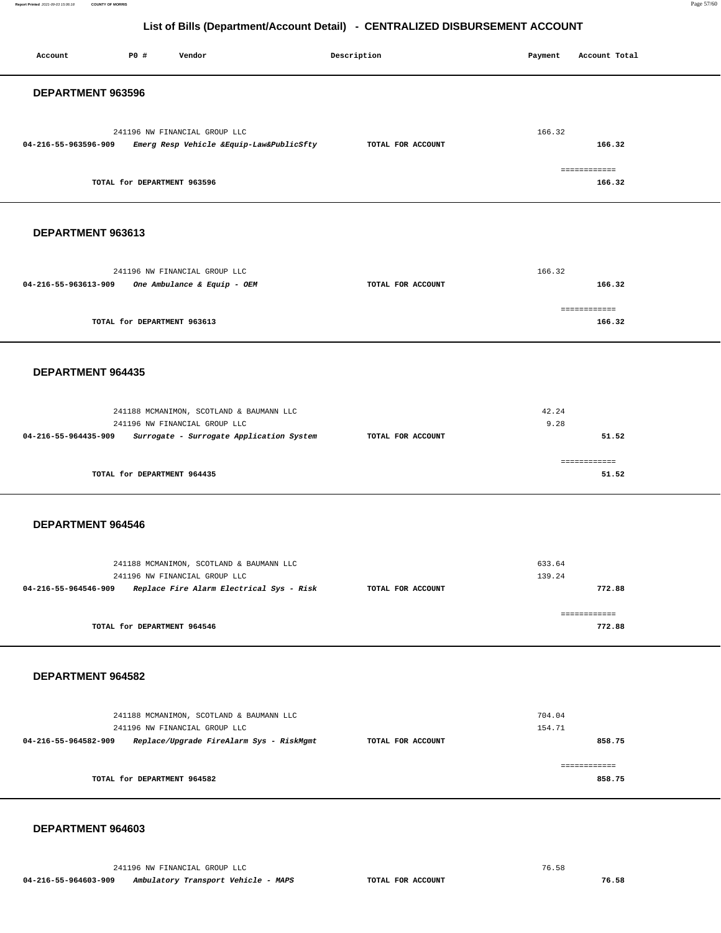**Report Printed** 2021-09-03 15:06:18 **COUNTY OF MORRIS** Page 57/60

## **List of Bills (Department/Account Detail) - CENTRALIZED DISBURSEMENT ACCOUNT**

| Account              | P0 #                        | Vendor                                                                                                                | Description       | Payment          | Account Total          |
|----------------------|-----------------------------|-----------------------------------------------------------------------------------------------------------------------|-------------------|------------------|------------------------|
| DEPARTMENT 963596    |                             |                                                                                                                       |                   |                  |                        |
| 04-216-55-963596-909 |                             | 241196 NW FINANCIAL GROUP LLC<br>Emerg Resp Vehicle &Equip-Law&PublicSfty                                             | TOTAL FOR ACCOUNT | 166.32           | 166.32<br>============ |
|                      | TOTAL for DEPARTMENT 963596 |                                                                                                                       |                   |                  | 166.32                 |
| DEPARTMENT 963613    |                             |                                                                                                                       |                   |                  |                        |
| 04-216-55-963613-909 |                             | 241196 NW FINANCIAL GROUP LLC<br>One Ambulance & Equip - OEM                                                          | TOTAL FOR ACCOUNT | 166.32           | 166.32                 |
|                      | TOTAL for DEPARTMENT 963613 |                                                                                                                       |                   |                  | ============<br>166.32 |
| DEPARTMENT 964435    |                             |                                                                                                                       |                   |                  |                        |
| 04-216-55-964435-909 |                             | 241188 MCMANIMON, SCOTLAND & BAUMANN LLC<br>241196 NW FINANCIAL GROUP LLC<br>Surrogate - Surrogate Application System | TOTAL FOR ACCOUNT | 42.24<br>9.28    | 51.52                  |
|                      | TOTAL for DEPARTMENT 964435 |                                                                                                                       |                   |                  | ============<br>51.52  |
| DEPARTMENT 964546    |                             |                                                                                                                       |                   |                  |                        |
| 04-216-55-964546-909 |                             | 241188 MCMANIMON, SCOTLAND & BAUMANN LLC<br>241196 NW FINANCIAL GROUP LLC<br>Replace Fire Alarm Electrical Sys - Risk | TOTAL FOR ACCOUNT | 633.64<br>139.24 | 772.88                 |
|                      | TOTAL for DEPARTMENT 964546 |                                                                                                                       |                   |                  | ============<br>772.88 |
| DEPARTMENT 964582    |                             |                                                                                                                       |                   |                  |                        |
| 04-216-55-964582-909 |                             | 241188 MCMANIMON, SCOTLAND & BAUMANN LLC<br>241196 NW FINANCIAL GROUP LLC<br>Replace/Upgrade FireAlarm Sys - RiskMgmt | TOTAL FOR ACCOUNT | 704.04<br>154.71 | 858.75                 |
|                      | TOTAL for DEPARTMENT 964582 |                                                                                                                       |                   |                  | ============<br>858.75 |
|                      |                             |                                                                                                                       |                   |                  |                        |

### **DEPARTMENT 964603**

241196 NW FINANCIAL GROUP LLC 76.58  **04-216-55-964603-909 Ambulatory Transport Vehicle - MAPS TOTAL FOR ACCOUNT 76.58**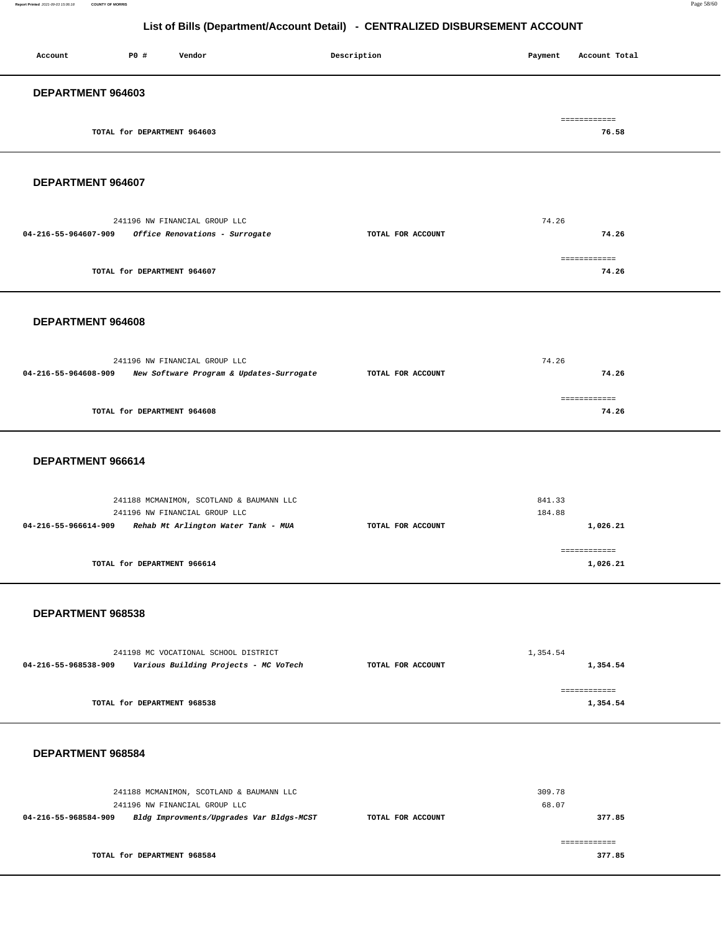| Account | <b>PO #</b>                 | Vendor | Description | Account Total<br>Payment |
|---------|-----------------------------|--------|-------------|--------------------------|
|         | DEPARTMENT 964603           |        |             |                          |
|         | TOTAL for DEPARTMENT 964603 |        |             | ============<br>76.58    |

### **DEPARTMENT 964607**

| 241196 NW FINANCIAL GROUP LLC                          |                   | 74.26        |
|--------------------------------------------------------|-------------------|--------------|
| Office Renovations - Surrogate<br>04-216-55-964607-909 | TOTAL FOR ACCOUNT | 74.26        |
|                                                        |                   | ------------ |
| TOTAL for DEPARTMENT 964607                            |                   | 74.26        |

### **DEPARTMENT 964608**

|                      | 241196 NW FINANCIAL GROUP LLC            |                   | 74.26 |
|----------------------|------------------------------------------|-------------------|-------|
| 04-216-55-964608-909 | New Software Program & Updates-Surrogate | TOTAL FOR ACCOUNT | 74.26 |
|                      |                                          |                   |       |
|                      | TOTAL for DEPARTMENT 964608              |                   | 74.26 |
|                      |                                          |                   |       |

### **DEPARTMENT 966614**

|                      | 241188 MCMANIMON, SCOTLAND & BAUMANN LLC<br>241196 NW FINANCIAL GROUP LLC |                   | 841.33<br>184.88         |
|----------------------|---------------------------------------------------------------------------|-------------------|--------------------------|
| 04-216-55-966614-909 | Rehab Mt Arlington Water Tank - MUA                                       | TOTAL FOR ACCOUNT | 1,026.21                 |
|                      | TOTAL for DEPARTMENT 966614                                               |                   | ============<br>1,026.21 |

### **DEPARTMENT 968538**

| 241198 MC VOCATIONAL SCHOOL DISTRICT |                                       |                   | 1,354.54 |
|--------------------------------------|---------------------------------------|-------------------|----------|
| 04-216-55-968538-909                 | Various Building Projects - MC VoTech | TOTAL FOR ACCOUNT | 1,354.54 |
|                                      |                                       |                   |          |
|                                      |                                       |                   |          |
|                                      | TOTAL for DEPARTMENT 968538           |                   | 1,354.54 |
|                                      |                                       |                   |          |

### **DEPARTMENT 968584**

| 241188 MCMANIMON, SCOTLAND & BAUMANN LLC                         |                   | 309.78 |
|------------------------------------------------------------------|-------------------|--------|
| 241196 NW FINANCIAL GROUP LLC                                    |                   | 68.07  |
| Bldg Improvments/Upgrades Var Bldgs-MCST<br>04-216-55-968584-909 | TOTAL FOR ACCOUNT | 377.85 |
|                                                                  |                   |        |
|                                                                  |                   |        |
| TOTAL for DEPARTMENT 968584                                      |                   | 377.85 |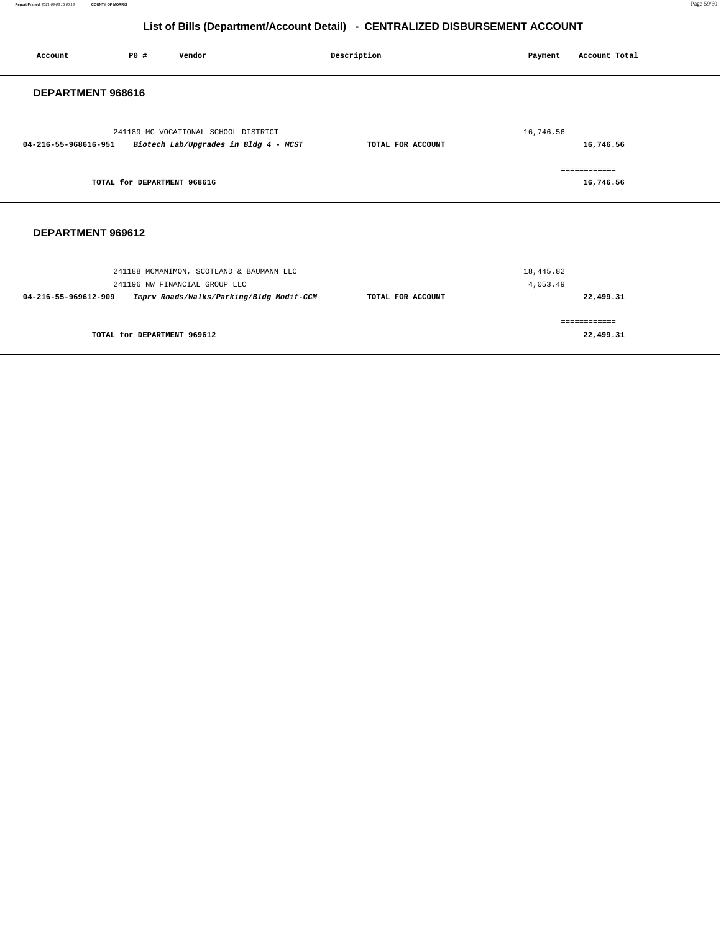**Report Printed** 2021-09-03 15:06:18 **COUNTY OF MORRIS** Page 59/60

## **List of Bills (Department/Account Detail) - CENTRALIZED DISBURSEMENT ACCOUNT**

| Account              | P0 #                        | Vendor                                                                        | Description       | Payment               | Account Total             |
|----------------------|-----------------------------|-------------------------------------------------------------------------------|-------------------|-----------------------|---------------------------|
| DEPARTMENT 968616    |                             |                                                                               |                   |                       |                           |
| 04-216-55-968616-951 |                             | 241189 MC VOCATIONAL SCHOOL DISTRICT<br>Biotech Lab/Upgrades in Bldg 4 - MCST | TOTAL FOR ACCOUNT | 16,746.56             | 16,746.56                 |
|                      | TOTAL for DEPARTMENT 968616 |                                                                               |                   |                       | ============<br>16,746.56 |
| DEPARTMENT 969612    |                             |                                                                               |                   |                       |                           |
|                      |                             | 241188 MCMANIMON, SCOTLAND & BAUMANN LLC<br>241196 NW FINANCIAL GROUP LLC     |                   | 18,445.82<br>4,053.49 |                           |
| 04-216-55-969612-909 |                             | Imprv Roads/Walks/Parking/Bldg Modif-CCM                                      | TOTAL FOR ACCOUNT |                       | 22,499.31                 |
|                      |                             |                                                                               |                   |                       | ============              |
|                      | TOTAL for DEPARTMENT 969612 |                                                                               |                   |                       | 22,499.31                 |